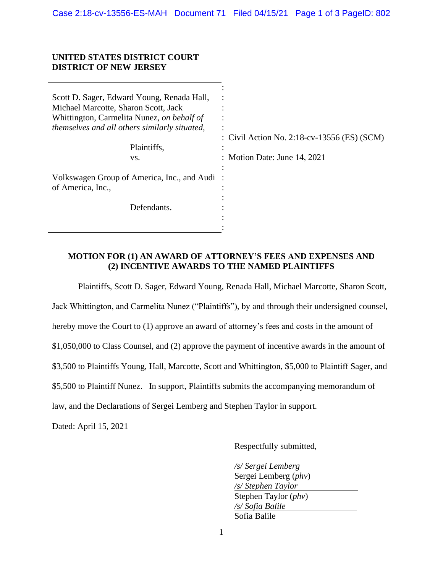#### **UNITED STATES DISTRICT COURT DISTRICT OF NEW JERSEY**

| Scott D. Sager, Edward Young, Renada Hall,<br>Michael Marcotte, Sharon Scott, Jack<br>Whittington, Carmelita Nunez, on behalf of<br>themselves and all others similarly situated,<br>Plaintiffs,<br>VS. | : Civil Action No. 2:18-cv-13556 (ES) (SCM)<br>: Motion Date: June 14, 2021 |
|---------------------------------------------------------------------------------------------------------------------------------------------------------------------------------------------------------|-----------------------------------------------------------------------------|
| Volkswagen Group of America, Inc., and Audi:<br>of America, Inc.,                                                                                                                                       |                                                                             |
| Defendants.                                                                                                                                                                                             |                                                                             |

#### **MOTION FOR (1) AN AWARD OF ATTORNEY'S FEES AND EXPENSES AND (2) INCENTIVE AWARDS TO THE NAMED PLAINTIFFS**

Plaintiffs, Scott D. Sager, Edward Young, Renada Hall, Michael Marcotte, Sharon Scott, Jack Whittington, and Carmelita Nunez ("Plaintiffs"), by and through their undersigned counsel, hereby move the Court to (1) approve an award of attorney's fees and costs in the amount of \$1,050,000 to Class Counsel, and (2) approve the payment of incentive awards in the amount of \$3,500 to Plaintiffs Young, Hall, Marcotte, Scott and Whittington, \$5,000 to Plaintiff Sager, and \$5,500 to Plaintiff Nunez. In support, Plaintiffs submits the accompanying memorandum of law, and the Declarations of Sergei Lemberg and Stephen Taylor in support.

Dated: April 15, 2021

Respectfully submitted,

*/s/ Sergei Lemberg*  Sergei Lemberg (*phv*) */s/ Stephen Taylor*  Stephen Taylor (*phv*) */s/ Sofia Balile*  Sofia Balile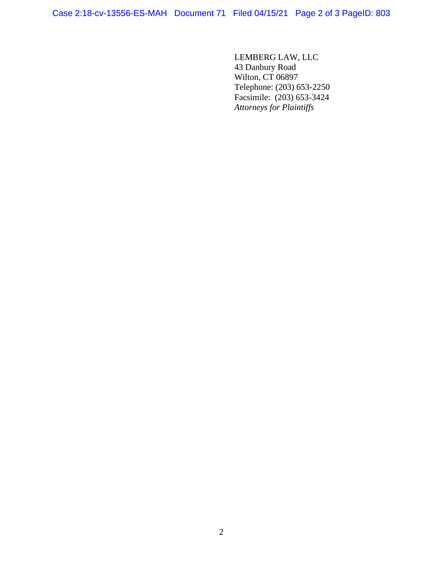Case 2:18-cv-13556-ES-MAH Document 71 Filed 04/15/21 Page 2 of 3 PageID: 803

LEMBERG LAW, LLC 43 Danbury Road Wilton, CT 06897 Telephone: (203) 653-2250 Facsimile: (203) 653-3424 *Attorneys for Plaintiffs*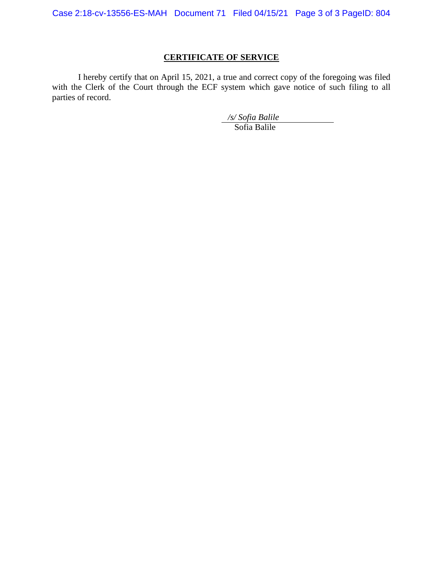Case 2:18-cv-13556-ES-MAH Document 71 Filed 04/15/21 Page 3 of 3 PageID: 804

# **CERTIFICATE OF SERVICE**

I hereby certify that on April 15, 2021, a true and correct copy of the foregoing was filed with the Clerk of the Court through the ECF system which gave notice of such filing to all parties of record.

*/s/ Sofia Balile* 

Sofia Balile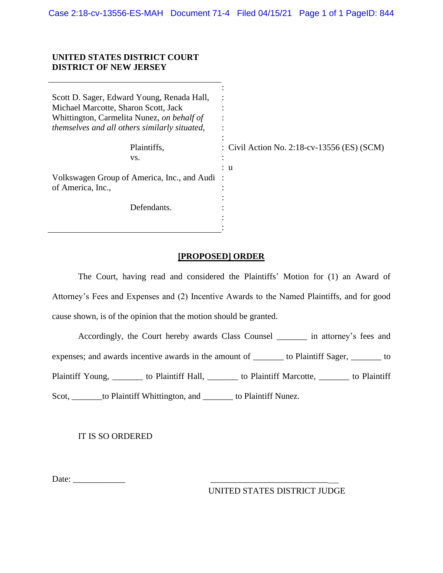: : : : :

#### **UNITED STATES DISTRICT COURT DISTRICT OF NEW JERSEY**

Scott D. Sager, Edward Young, Renada Hall, Michael Marcotte, Sharon Scott, Jack Whittington, Carmelita Nunez, *on behalf of themselves and all others similarly situated*,

| Plaintiffs,<br>VS.                                                | : Civil Action No. 2:18-cv-13556 (ES) (SCM)<br>$\bullet$ |
|-------------------------------------------------------------------|----------------------------------------------------------|
| Volkswagen Group of America, Inc., and Audi:<br>of America, Inc., | : u                                                      |
| Defendants.                                                       | ٠<br>٠                                                   |

#### **[PROPOSED] ORDER**

The Court, having read and considered the Plaintiffs' Motion for (1) an Award of Attorney's Fees and Expenses and (2) Incentive Awards to the Named Plaintiffs, and for good cause shown, is of the opinion that the motion should be granted.

Accordingly, the Court hereby awards Class Counsel \_\_\_\_\_\_\_ in attorney's fees and expenses; and awards incentive awards in the amount of \_\_\_\_\_\_\_ to Plaintiff Sager, \_\_\_\_\_\_\_ to Plaintiff Young, \_\_\_\_\_\_\_ to Plaintiff Hall, \_\_\_\_\_\_\_ to Plaintiff Marcotte, \_\_\_\_\_\_\_ to Plaintiff Scot, \_\_\_\_\_\_\_to Plaintiff Whittington, and \_\_\_\_\_\_\_ to Plaintiff Nunez.

IT IS SO ORDERED

Date: \_\_\_\_\_\_\_\_\_\_\_\_ \_\_\_\_\_\_\_\_\_\_\_\_\_\_\_\_\_\_\_\_\_\_\_\_\_\_\_

UNITED STATES DISTRICT JUDGE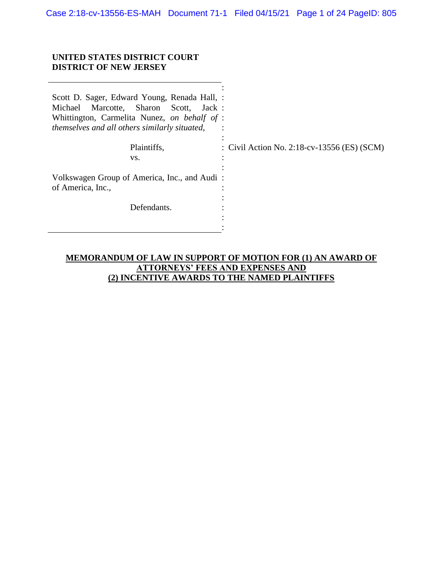Case 2:18-cv-13556-ES-MAH Document 71-1 Filed 04/15/21 Page 1 of 24 PageID: 805

#### **UNITED STATES DISTRICT COURT DISTRICT OF NEW JERSEY**

| Scott D. Sager, Edward Young, Renada Hall, :<br>Marcotte, Sharon Scott, Jack:<br>Michael<br>Whittington, Carmelita Nunez, on behalf of :<br>themselves and all others similarly situated, |                                             |
|-------------------------------------------------------------------------------------------------------------------------------------------------------------------------------------------|---------------------------------------------|
| Plaintiffs,                                                                                                                                                                               | : Civil Action No. 2:18-cv-13556 (ES) (SCM) |
| VS.                                                                                                                                                                                       |                                             |
| Volkswagen Group of America, Inc., and Audi:<br>of America, Inc.,                                                                                                                         |                                             |
| Defendants.                                                                                                                                                                               |                                             |
|                                                                                                                                                                                           |                                             |
|                                                                                                                                                                                           |                                             |

## **MEMORANDUM OF LAW IN SUPPORT OF MOTION FOR (1) AN AWARD OF ATTORNEYS' FEES AND EXPENSES AND (2) INCENTIVE AWARDS TO THE NAMED PLAINTIFFS**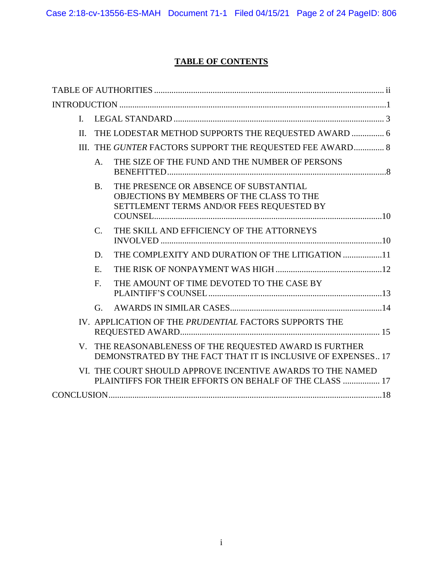# **TABLE OF CONTENTS**

| L   |             |                                                                                                                                  |  |
|-----|-------------|----------------------------------------------------------------------------------------------------------------------------------|--|
| II. |             | THE LODESTAR METHOD SUPPORTS THE REQUESTED AWARD  6                                                                              |  |
|     |             | III. THE GUNTER FACTORS SUPPORT THE REQUESTED FEE AWARD 8                                                                        |  |
|     | A.          | THE SIZE OF THE FUND AND THE NUMBER OF PERSONS                                                                                   |  |
|     | B.          | THE PRESENCE OR ABSENCE OF SUBSTANTIAL<br>OBJECTIONS BY MEMBERS OF THE CLASS TO THE<br>SETTLEMENT TERMS AND/OR FEES REQUESTED BY |  |
|     | $C_{\cdot}$ | THE SKILL AND EFFICIENCY OF THE ATTORNEYS                                                                                        |  |
|     | D.          | THE COMPLEXITY AND DURATION OF THE LITIGATION 11                                                                                 |  |
|     | E.          |                                                                                                                                  |  |
|     | $F_{\cdot}$ | THE AMOUNT OF TIME DEVOTED TO THE CASE BY                                                                                        |  |
|     | G.          |                                                                                                                                  |  |
|     |             | IV. APPLICATION OF THE PRUDENTIAL FACTORS SUPPORTS THE                                                                           |  |
|     |             | V. THE REASONABLENESS OF THE REQUESTED AWARD IS FURTHER<br>DEMONSTRATED BY THE FACT THAT IT IS INCLUSIVE OF EXPENSES 17          |  |
|     |             | VI. THE COURT SHOULD APPROVE INCENTIVE AWARDS TO THE NAMED<br>PLAINTIFFS FOR THEIR EFFORTS ON BEHALF OF THE CLASS  17            |  |
|     |             |                                                                                                                                  |  |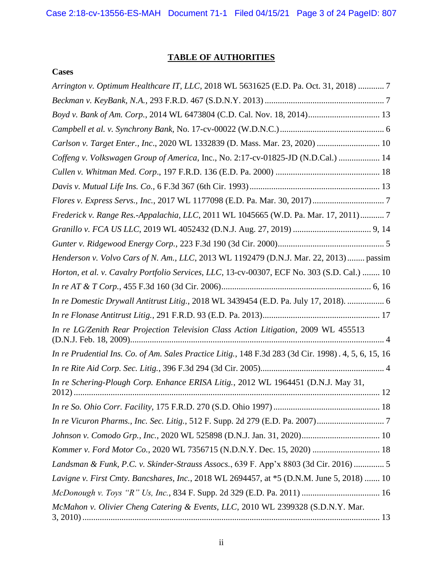# **TABLE OF AUTHORITIES**

## <span id="page-6-0"></span>**Cases**

| Arrington v. Optimum Healthcare IT, LLC, 2018 WL 5631625 (E.D. Pa. Oct. 31, 2018)  7                 |
|------------------------------------------------------------------------------------------------------|
|                                                                                                      |
| Boyd v. Bank of Am. Corp., 2014 WL 6473804 (C.D. Cal. Nov. 18, 2014) 13                              |
|                                                                                                      |
| Carlson v. Target Enter., Inc., 2020 WL 1332839 (D. Mass. Mar. 23, 2020)  10                         |
| Coffeng v. Volkswagen Group of America, Inc., No. 2:17-cv-01825-JD (N.D.Cal.)  14                    |
|                                                                                                      |
|                                                                                                      |
|                                                                                                      |
| Frederick v. Range Res.-Appalachia, LLC, 2011 WL 1045665 (W.D. Pa. Mar. 17, 2011) 7                  |
|                                                                                                      |
|                                                                                                      |
| Henderson v. Volvo Cars of N. Am., LLC, 2013 WL 1192479 (D.N.J. Mar. 22, 2013) passim                |
| Horton, et al. v. Cavalry Portfolio Services, LLC, 13-cv-00307, ECF No. 303 (S.D. Cal.)  10          |
|                                                                                                      |
| In re Domestic Drywall Antitrust Litig., 2018 WL 3439454 (E.D. Pa. July 17, 2018).  6                |
|                                                                                                      |
| In re LG/Zenith Rear Projection Television Class Action Litigation, 2009 WL 455513                   |
| In re Prudential Ins. Co. of Am. Sales Practice Litig., 148 F.3d 283 (3d Cir. 1998). 4, 5, 6, 15, 16 |
|                                                                                                      |
| In re Schering-Plough Corp. Enhance ERISA Litig., 2012 WL 1964451 (D.N.J. May 31,                    |
|                                                                                                      |
| In re Vicuron Pharms., Inc. Sec. Litig., 512 F. Supp. 2d 279 (E.D. Pa. 2007)                         |
|                                                                                                      |
| Kommer v. Ford Motor Co., 2020 WL 7356715 (N.D.N.Y. Dec. 15, 2020)  18                               |
| Landsman & Funk, P.C. v. Skinder-Strauss Assocs., 639 F. App'x 8803 (3d Cir. 2016)  5                |
| Lavigne v. First Cmty. Bancshares, Inc., 2018 WL 2694457, at *5 (D.N.M. June 5, 2018)  10            |
|                                                                                                      |
| McMahon v. Olivier Cheng Catering & Events, LLC, 2010 WL 2399328 (S.D.N.Y. Mar.                      |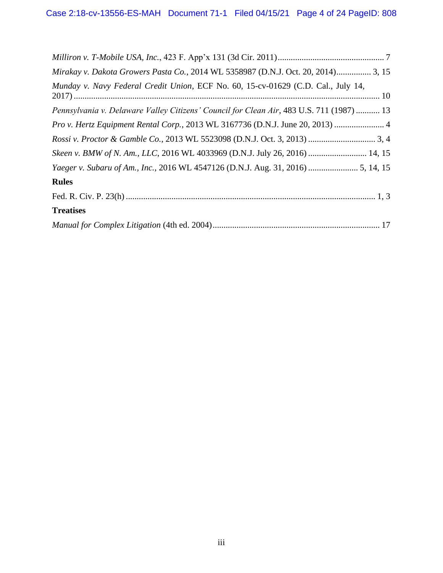| Mirakay v. Dakota Growers Pasta Co., 2014 WL 5358987 (D.N.J. Oct. 20, 2014) 3, 15        |
|------------------------------------------------------------------------------------------|
| Munday v. Navy Federal Credit Union, ECF No. 60, 15-cv-01629 (C.D. Cal., July 14,        |
| Pennsylvania v. Delaware Valley Citizens' Council for Clean Air, 483 U.S. 711 (1987)  13 |
| Pro v. Hertz Equipment Rental Corp., 2013 WL 3167736 (D.N.J. June 20, 2013)  4           |
|                                                                                          |
| Skeen v. BMW of N. Am., LLC, 2016 WL 4033969 (D.N.J. July 26, 2016)  14, 15              |
|                                                                                          |
| <b>Rules</b>                                                                             |
|                                                                                          |
| <b>Treatises</b>                                                                         |
|                                                                                          |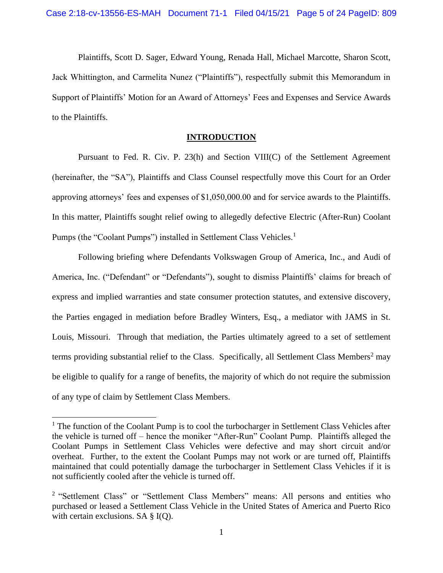Plaintiffs, Scott D. Sager, Edward Young, Renada Hall, Michael Marcotte, Sharon Scott, Jack Whittington, and Carmelita Nunez ("Plaintiffs"), respectfully submit this Memorandum in Support of Plaintiffs' Motion for an Award of Attorneys' Fees and Expenses and Service Awards to the Plaintiffs.

#### **INTRODUCTION**

<span id="page-8-0"></span>Pursuant to Fed. R. Civ. P. 23(h) and Section VIII(C) of the Settlement Agreement (hereinafter, the "SA"), Plaintiffs and Class Counsel respectfully move this Court for an Order approving attorneys' fees and expenses of \$1,050,000.00 and for service awards to the Plaintiffs. In this matter, Plaintiffs sought relief owing to allegedly defective Electric (After-Run) Coolant Pumps (the "Coolant Pumps") installed in Settlement Class Vehicles.<sup>1</sup>

Following briefing where Defendants Volkswagen Group of America, Inc., and Audi of America, Inc. ("Defendant" or "Defendants"), sought to dismiss Plaintiffs' claims for breach of express and implied warranties and state consumer protection statutes, and extensive discovery, the Parties engaged in mediation before Bradley Winters, Esq., a mediator with JAMS in St. Louis, Missouri. Through that mediation, the Parties ultimately agreed to a set of settlement terms providing substantial relief to the Class. Specifically, all Settlement Class Members<sup>2</sup> may be eligible to qualify for a range of benefits, the majority of which do not require the submission of any type of claim by Settlement Class Members.

<sup>&</sup>lt;sup>1</sup> The function of the Coolant Pump is to cool the turbocharger in Settlement Class Vehicles after the vehicle is turned off – hence the moniker "After-Run" Coolant Pump. Plaintiffs alleged the Coolant Pumps in Settlement Class Vehicles were defective and may short circuit and/or overheat. Further, to the extent the Coolant Pumps may not work or are turned off, Plaintiffs maintained that could potentially damage the turbocharger in Settlement Class Vehicles if it is not sufficiently cooled after the vehicle is turned off.

<sup>&</sup>lt;sup>2</sup> "Settlement Class" or "Settlement Class Members" means: All persons and entities who purchased or leased a Settlement Class Vehicle in the United States of America and Puerto Rico with certain exclusions. SA  $\S$  I(Q).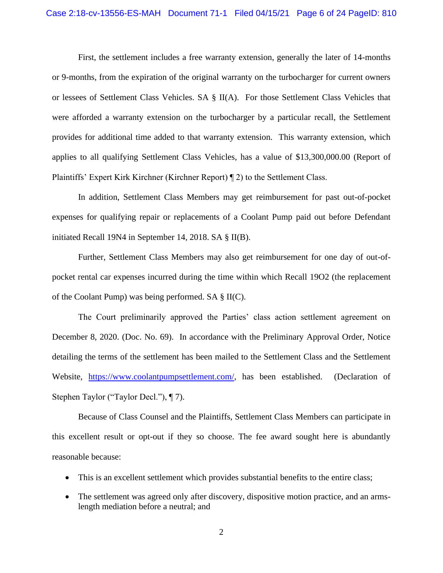First, the settlement includes a free warranty extension, generally the later of 14-months or 9-months, from the expiration of the original warranty on the turbocharger for current owners or lessees of Settlement Class Vehicles. SA § II(A). For those Settlement Class Vehicles that were afforded a warranty extension on the turbocharger by a particular recall, the Settlement provides for additional time added to that warranty extension. This warranty extension, which applies to all qualifying Settlement Class Vehicles, has a value of \$13,300,000.00 (Report of Plaintiffs' Expert Kirk Kirchner (Kirchner Report) ¶ 2) to the Settlement Class.

In addition, Settlement Class Members may get reimbursement for past out-of-pocket expenses for qualifying repair or replacements of a Coolant Pump paid out before Defendant initiated Recall 19N4 in September 14, 2018. SA § II(B).

Further, Settlement Class Members may also get reimbursement for one day of out-ofpocket rental car expenses incurred during the time within which Recall 19O2 (the replacement of the Coolant Pump) was being performed. SA § II(C).

The Court preliminarily approved the Parties' class action settlement agreement on December 8, 2020. (Doc. No. 69). In accordance with the Preliminary Approval Order, Notice detailing the terms of the settlement has been mailed to the Settlement Class and the Settlement Website, [https://www.coolantpumpsettlement.com/,](https://www.coolantpumpsettlement.com/) has been established. (Declaration of Stephen Taylor ("Taylor Decl."), ¶ 7).

Because of Class Counsel and the Plaintiffs, Settlement Class Members can participate in this excellent result or opt-out if they so choose. The fee award sought here is abundantly reasonable because:

- This is an excellent settlement which provides substantial benefits to the entire class;
- The settlement was agreed only after discovery, dispositive motion practice, and an armslength mediation before a neutral; and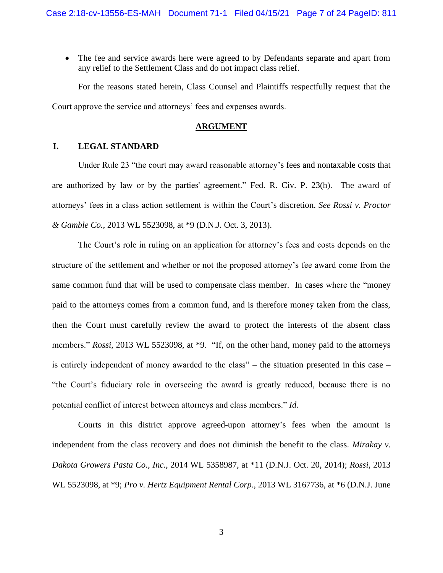• The fee and service awards here were agreed to by Defendants separate and apart from any relief to the Settlement Class and do not impact class relief.

For the reasons stated herein, Class Counsel and Plaintiffs respectfully request that the Court approve the service and attorneys' fees and expenses awards.

#### **ARGUMENT**

#### <span id="page-10-0"></span>**I. LEGAL STANDARD**

Under Rule 23 "the court may award reasonable attorney's fees and nontaxable costs that are authorized by law or by the parties' agreement." Fed. R. Civ. P. 23(h). The award of attorneys' fees in a class action settlement is within the Court's discretion. *See Rossi v. Proctor & Gamble Co.*, 2013 WL 5523098, at \*9 (D.N.J. Oct. 3, 2013).

The Court's role in ruling on an application for attorney's fees and costs depends on the structure of the settlement and whether or not the proposed attorney's fee award come from the same common fund that will be used to compensate class member. In cases where the "money paid to the attorneys comes from a common fund, and is therefore money taken from the class, then the Court must carefully review the award to protect the interests of the absent class members." *Rossi*, 2013 WL 5523098, at \*9. "If, on the other hand, money paid to the attorneys is entirely independent of money awarded to the class" – the situation presented in this case – "the Court's fiduciary role in overseeing the award is greatly reduced, because there is no potential conflict of interest between attorneys and class members." *Id.*

Courts in this district approve agreed-upon attorney's fees when the amount is independent from the class recovery and does not diminish the benefit to the class. *Mirakay v. Dakota Growers Pasta Co., Inc.*, 2014 WL 5358987, at \*11 (D.N.J. Oct. 20, 2014); *Rossi*, 2013 WL 5523098, at \*9; *Pro v. Hertz Equipment Rental Corp.*, 2013 WL 3167736, at \*6 (D.N.J. June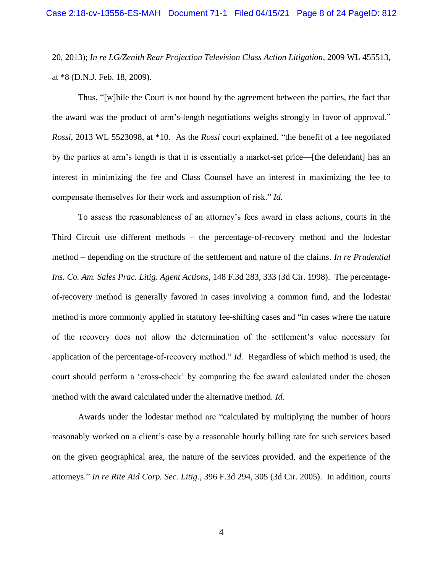20, 2013); *In re LG/Zenith Rear Projection Television Class Action Litigation*, 2009 WL 455513, at \*8 (D.N.J. Feb. 18, 2009).

Thus, "[w]hile the Court is not bound by the agreement between the parties, the fact that the award was the product of arm's-length negotiations weighs strongly in favor of approval." *Rossi*, 2013 WL 5523098, at \*10. As the *Rossi* court explained, "the benefit of a fee negotiated by the parties at arm's length is that it is essentially a market-set price—[the defendant] has an interest in minimizing the fee and Class Counsel have an interest in maximizing the fee to compensate themselves for their work and assumption of risk." *Id.*

To assess the reasonableness of an attorney's fees award in class actions, courts in the Third Circuit use different methods – the percentage-of-recovery method and the lodestar method – depending on the structure of the settlement and nature of the claims. *In re Prudential Ins. Co. Am. Sales Prac. Litig. Agent Actions*, 148 F.3d 283, 333 (3d Cir. 1998). The percentageof-recovery method is generally favored in cases involving a common fund, and the lodestar method is more commonly applied in statutory fee-shifting cases and "in cases where the nature of the recovery does not allow the determination of the settlement's value necessary for application of the percentage-of-recovery method." *Id.* Regardless of which method is used, the court should perform a 'cross-check' by comparing the fee award calculated under the chosen method with the award calculated under the alternative method. *Id.*

Awards under the lodestar method are "calculated by multiplying the number of hours reasonably worked on a client's case by a reasonable hourly billing rate for such services based on the given geographical area, the nature of the services provided, and the experience of the attorneys." *In re Rite Aid Corp. Sec. Litig.*, 396 F.3d 294, 305 (3d Cir. 2005). In addition, courts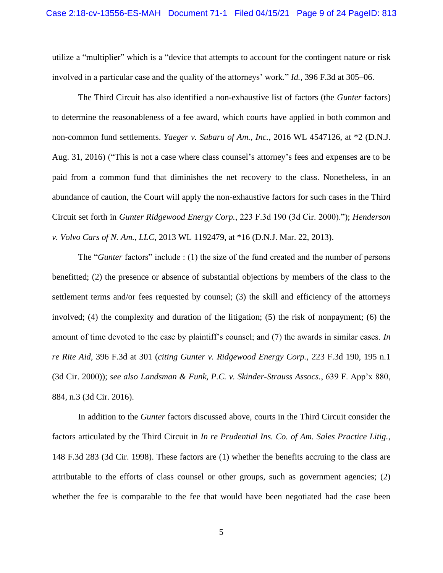utilize a "multiplier" which is a "device that attempts to account for the contingent nature or risk involved in a particular case and the quality of the attorneys' work." *Id.,* 396 F.3d at 305–06.

The Third Circuit has also identified a non-exhaustive list of factors (the *Gunter* factors) to determine the reasonableness of a fee award, which courts have applied in both common and non-common fund settlements. *Yaeger v. Subaru of Am., Inc.*, 2016 WL 4547126, at \*2 (D.N.J. Aug. 31, 2016) ("This is not a case where class counsel's attorney's fees and expenses are to be paid from a common fund that diminishes the net recovery to the class. Nonetheless, in an abundance of caution, the Court will apply the non-exhaustive factors for such cases in the Third Circuit set forth in *Gunter Ridgewood Energy Corp.*, 223 F.3d 190 (3d Cir. 2000)."); *Henderson v. Volvo Cars of N. Am., LLC*, 2013 WL 1192479, at \*16 (D.N.J. Mar. 22, 2013).

The "*Gunter* factors" include : (1) the size of the fund created and the number of persons benefitted; (2) the presence or absence of substantial objections by members of the class to the settlement terms and/or fees requested by counsel; (3) the skill and efficiency of the attorneys involved; (4) the complexity and duration of the litigation; (5) the risk of nonpayment; (6) the amount of time devoted to the case by plaintiff's counsel; and (7) the awards in similar cases. *In re Rite Aid,* 396 F.3d at 301 (*citing Gunter v. Ridgewood Energy Corp.,* 223 F.3d 190, 195 n.1 (3d Cir. 2000)); *see also Landsman & Funk, P.C. v. Skinder-Strauss Assocs.*, 639 F. App'x 880, 884, n.3 (3d Cir. 2016).

In addition to the *Gunter* factors discussed above, courts in the Third Circuit consider the factors articulated by the Third Circuit in *In re Prudential Ins. Co. of Am. Sales Practice Litig.*, 148 F.3d 283 (3d Cir. 1998). These factors are (1) whether the benefits accruing to the class are attributable to the efforts of class counsel or other groups, such as government agencies; (2) whether the fee is comparable to the fee that would have been negotiated had the case been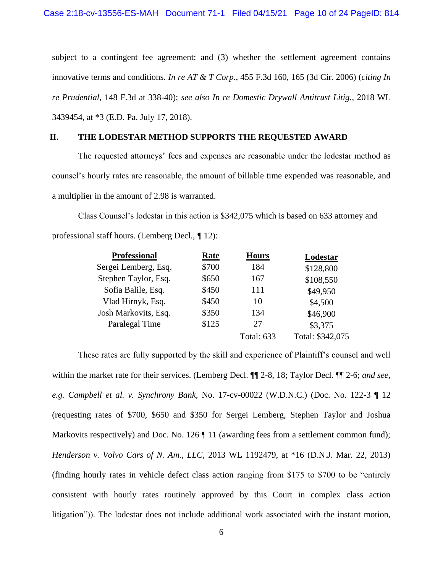subject to a contingent fee agreement; and (3) whether the settlement agreement contains innovative terms and conditions. *In re AT & T Corp.*, 455 F.3d 160, 165 (3d Cir. 2006) (*citing In re Prudential*, 148 F.3d at 338-40); *see also In re Domestic Drywall Antitrust Litig.*, 2018 WL 3439454, at \*3 (E.D. Pa. July 17, 2018).

#### <span id="page-13-0"></span>**II. THE LODESTAR METHOD SUPPORTS THE REQUESTED AWARD**

The requested attorneys' fees and expenses are reasonable under the lodestar method as counsel's hourly rates are reasonable, the amount of billable time expended was reasonable, and a multiplier in the amount of 2.98 is warranted.

Class Counsel's lodestar in this action is \$342,075 which is based on 633 attorney and professional staff hours. (Lemberg Decl., *¶* 12):

| <b>Professional</b>  | Rate  | <b>Hours</b>      | Lodestar         |
|----------------------|-------|-------------------|------------------|
| Sergei Lemberg, Esq. | \$700 | 184               | \$128,800        |
| Stephen Taylor, Esq. | \$650 | 167               | \$108,550        |
| Sofia Balile, Esq.   | \$450 | 111               | \$49,950         |
| Vlad Hirnyk, Esq.    | \$450 | 10                | \$4,500          |
| Josh Markovits, Esq. | \$350 | 134               | \$46,900         |
| Paralegal Time       | \$125 | 27                | \$3,375          |
|                      |       | <b>Total: 633</b> | Total: \$342,075 |
|                      |       |                   |                  |

These rates are fully supported by the skill and experience of Plaintiff's counsel and well within the market rate for their services. (Lemberg Decl. ¶¶ 2-8, 18; Taylor Decl. ¶¶ 2-6; *and see, e.g. Campbell et al. v. Synchrony Bank,* No. 17-cv-00022 (W.D.N.C.) (Doc. No. 122-3 ¶ 12 (requesting rates of \$700, \$650 and \$350 for Sergei Lemberg, Stephen Taylor and Joshua Markovits respectively) and Doc. No. 126  $\P$  11 (awarding fees from a settlement common fund); *Henderson v. Volvo Cars of N. Am., LLC*, 2013 WL 1192479, at \*16 (D.N.J. Mar. 22, 2013) (finding hourly rates in vehicle defect class action ranging from \$175 to \$700 to be "entirely consistent with hourly rates routinely approved by this Court in complex class action litigation")). The lodestar does not include additional work associated with the instant motion,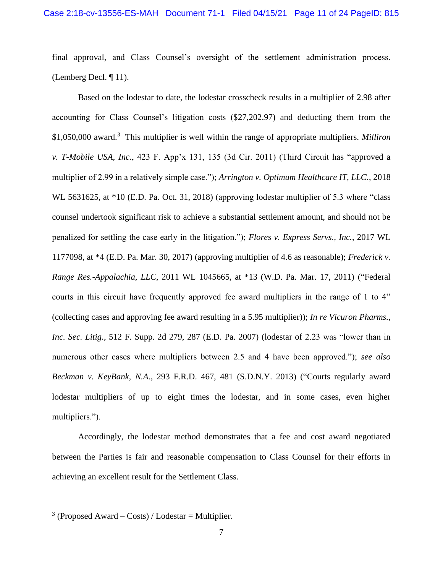final approval, and Class Counsel's oversight of the settlement administration process. (Lemberg Decl. ¶ 11).

Based on the lodestar to date, the lodestar crosscheck results in a multiplier of 2.98 after accounting for Class Counsel's litigation costs (\$27,202.97) and deducting them from the \$1,050,000 award.<sup>3</sup> This multiplier is well within the range of appropriate multipliers. *Milliron v. T-Mobile USA, Inc.*, 423 F. App'x 131, 135 (3d Cir. 2011) (Third Circuit has "approved a multiplier of 2.99 in a relatively simple case."); *Arrington v. Optimum Healthcare IT, LLC.*, 2018 WL 5631625, at \*10 (E.D. Pa. Oct. 31, 2018) (approving lodestar multiplier of 5.3 where "class counsel undertook significant risk to achieve a substantial settlement amount, and should not be penalized for settling the case early in the litigation."); *Flores v. Express Servs., Inc.*, 2017 WL 1177098, at \*4 (E.D. Pa. Mar. 30, 2017) (approving multiplier of 4.6 as reasonable); *Frederick v. Range Res.-Appalachia, LLC*, 2011 WL 1045665, at \*13 (W.D. Pa. Mar. 17, 2011) ("Federal courts in this circuit have frequently approved fee award multipliers in the range of 1 to 4" (collecting cases and approving fee award resulting in a 5.95 multiplier)); *In re Vicuron Pharms., Inc. Sec. Litig.*, 512 F. Supp. 2d 279, 287 (E.D. Pa. 2007) (lodestar of 2.23 was "lower than in numerous other cases where multipliers between 2.5 and 4 have been approved."); *see also Beckman v. KeyBank, N.A.*, 293 F.R.D. 467, 481 (S.D.N.Y. 2013) ("Courts regularly award lodestar multipliers of up to eight times the lodestar, and in some cases, even higher multipliers.").

Accordingly, the lodestar method demonstrates that a fee and cost award negotiated between the Parties is fair and reasonable compensation to Class Counsel for their efforts in achieving an excellent result for the Settlement Class.

<sup>&</sup>lt;sup>3</sup> (Proposed Award – Costs) / Lodestar = Multiplier.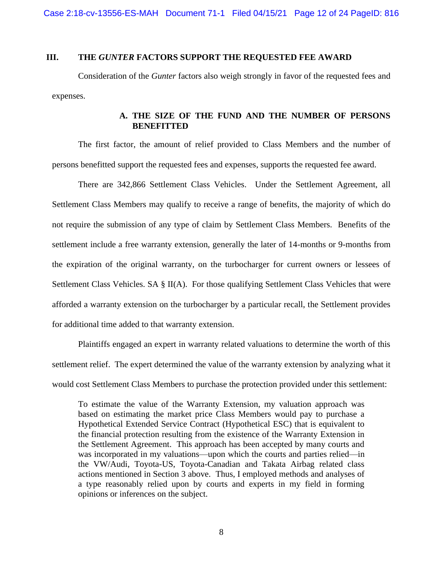#### <span id="page-15-0"></span>**III. THE** *GUNTER* **FACTORS SUPPORT THE REQUESTED FEE AWARD**

Consideration of the *Gunter* factors also weigh strongly in favor of the requested fees and expenses.

#### **A. THE SIZE OF THE FUND AND THE NUMBER OF PERSONS BENEFITTED**

<span id="page-15-1"></span>The first factor, the amount of relief provided to Class Members and the number of persons benefitted support the requested fees and expenses, supports the requested fee award.

There are 342,866 Settlement Class Vehicles. Under the Settlement Agreement, all Settlement Class Members may qualify to receive a range of benefits, the majority of which do not require the submission of any type of claim by Settlement Class Members. Benefits of the settlement include a free warranty extension, generally the later of 14-months or 9-months from the expiration of the original warranty, on the turbocharger for current owners or lessees of Settlement Class Vehicles. SA § II(A). For those qualifying Settlement Class Vehicles that were afforded a warranty extension on the turbocharger by a particular recall, the Settlement provides for additional time added to that warranty extension.

Plaintiffs engaged an expert in warranty related valuations to determine the worth of this settlement relief. The expert determined the value of the warranty extension by analyzing what it would cost Settlement Class Members to purchase the protection provided under this settlement:

To estimate the value of the Warranty Extension, my valuation approach was based on estimating the market price Class Members would pay to purchase a Hypothetical Extended Service Contract (Hypothetical ESC) that is equivalent to the financial protection resulting from the existence of the Warranty Extension in the Settlement Agreement. This approach has been accepted by many courts and was incorporated in my valuations—upon which the courts and parties relied—in the VW/Audi, Toyota-US, Toyota-Canadian and Takata Airbag related class actions mentioned in Section 3 above. Thus, I employed methods and analyses of a type reasonably relied upon by courts and experts in my field in forming opinions or inferences on the subject.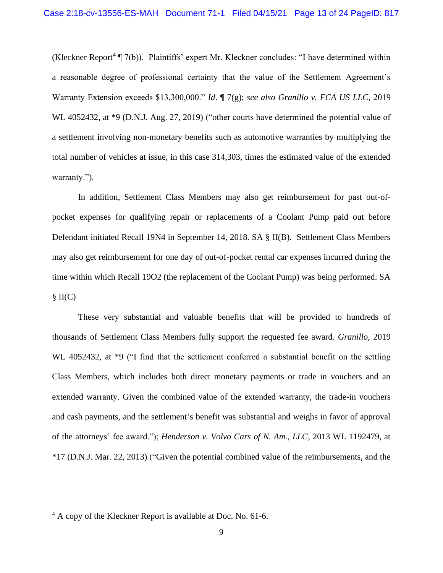(Kleckner Report<sup>4</sup>  $\P$  7(b)). Plaintiffs' expert Mr. Kleckner concludes: "I have determined within a reasonable degree of professional certainty that the value of the Settlement Agreement's Warranty Extension exceeds \$13,300,000." *Id*. ¶ 7(g); *see also Granillo v. FCA US LLC*, 2019 WL 4052432, at \*9 (D.N.J. Aug. 27, 2019) ("other courts have determined the potential value of a settlement involving non-monetary benefits such as automotive warranties by multiplying the total number of vehicles at issue, in this case 314,303, times the estimated value of the extended warranty.").

In addition, Settlement Class Members may also get reimbursement for past out-ofpocket expenses for qualifying repair or replacements of a Coolant Pump paid out before Defendant initiated Recall 19N4 in September 14, 2018. SA § II(B). Settlement Class Members may also get reimbursement for one day of out-of-pocket rental car expenses incurred during the time within which Recall 19O2 (the replacement of the Coolant Pump) was being performed. SA  $\S II(C)$ 

These very substantial and valuable benefits that will be provided to hundreds of thousands of Settlement Class Members fully support the requested fee award. *Granillo*, 2019 WL 4052432, at \*9 ("I find that the settlement conferred a substantial benefit on the settling Class Members, which includes both direct monetary payments or trade in vouchers and an extended warranty. Given the combined value of the extended warranty, the trade-in vouchers and cash payments, and the settlement's benefit was substantial and weighs in favor of approval of the attorneys' fee award."); *Henderson v. Volvo Cars of N. Am., LLC*, 2013 WL 1192479, at \*17 (D.N.J. Mar. 22, 2013) ("Given the potential combined value of the reimbursements, and the

 $4 A$  copy of the Kleckner Report is available at Doc. No. 61-6.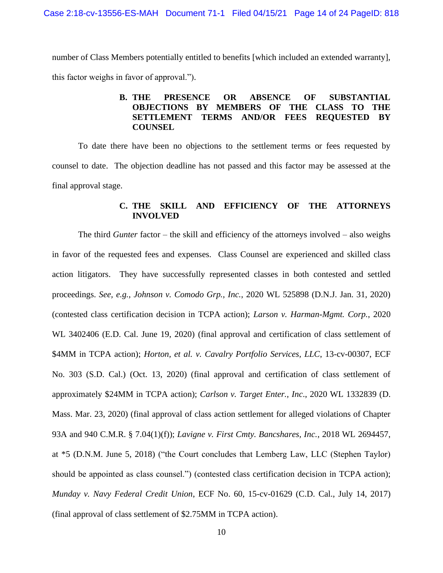<span id="page-17-0"></span>number of Class Members potentially entitled to benefits [which included an extended warranty], this factor weighs in favor of approval.").

#### **B. THE PRESENCE OR ABSENCE OF SUBSTANTIAL OBJECTIONS BY MEMBERS OF THE CLASS TO THE SETTLEMENT TERMS AND/OR FEES REQUESTED BY COUNSEL**

To date there have been no objections to the settlement terms or fees requested by counsel to date. The objection deadline has not passed and this factor may be assessed at the final approval stage.

#### **C. THE SKILL AND EFFICIENCY OF THE ATTORNEYS INVOLVED**

<span id="page-17-1"></span>The third *Gunter* factor – the skill and efficiency of the attorneys involved – also weighs in favor of the requested fees and expenses. Class Counsel are experienced and skilled class action litigators. They have successfully represented classes in both contested and settled proceedings. *See, e.g., Johnson v. Comodo Grp., Inc.*, 2020 WL 525898 (D.N.J. Jan. 31, 2020) (contested class certification decision in TCPA action); *Larson v. Harman-Mgmt. Corp.*, 2020 WL 3402406 (E.D. Cal. June 19, 2020) (final approval and certification of class settlement of \$4MM in TCPA action); *Horton, et al. v. Cavalry Portfolio Services, LLC*, 13-cv-00307, ECF No. 303 (S.D. Cal.) (Oct. 13, 2020) (final approval and certification of class settlement of approximately \$24MM in TCPA action); *Carlson v. Target Enter., Inc*., 2020 WL 1332839 (D. Mass. Mar. 23, 2020) (final approval of class action settlement for alleged violations of Chapter 93A and 940 C.M.R. § 7.04(1)(f)); *Lavigne v. First Cmty. Bancshares, Inc.*, 2018 WL 2694457, at \*5 (D.N.M. June 5, 2018) ("the Court concludes that Lemberg Law, LLC (Stephen Taylor) should be appointed as class counsel.") (contested class certification decision in TCPA action); *Munday v. Navy Federal Credit Union*, ECF No. 60, 15-cv-01629 (C.D. Cal., July 14, 2017) (final approval of class settlement of \$2.75MM in TCPA action).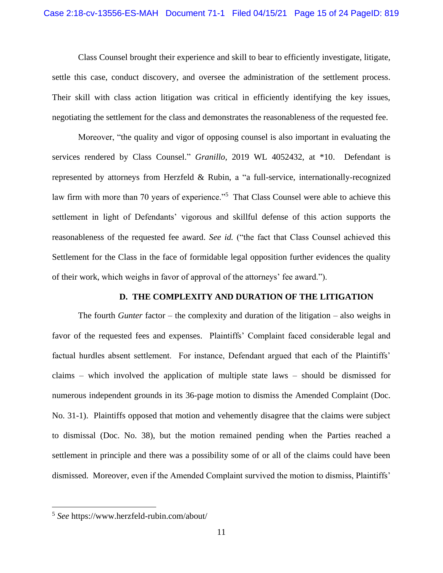Class Counsel brought their experience and skill to bear to efficiently investigate, litigate, settle this case, conduct discovery, and oversee the administration of the settlement process. Their skill with class action litigation was critical in efficiently identifying the key issues, negotiating the settlement for the class and demonstrates the reasonableness of the requested fee.

Moreover, "the quality and vigor of opposing counsel is also important in evaluating the services rendered by Class Counsel." *Granillo*, 2019 WL 4052432, at \*10. Defendant is represented by attorneys from Herzfeld & Rubin, a "a full-service, internationally-recognized law firm with more than 70 years of experience."<sup>5</sup> That Class Counsel were able to achieve this settlement in light of Defendants' vigorous and skillful defense of this action supports the reasonableness of the requested fee award. *See id.* ("the fact that Class Counsel achieved this Settlement for the Class in the face of formidable legal opposition further evidences the quality of their work, which weighs in favor of approval of the attorneys' fee award.").

#### **D. THE COMPLEXITY AND DURATION OF THE LITIGATION**

<span id="page-18-0"></span>The fourth *Gunter* factor – the complexity and duration of the litigation – also weighs in favor of the requested fees and expenses. Plaintiffs' Complaint faced considerable legal and factual hurdles absent settlement. For instance, Defendant argued that each of the Plaintiffs' claims – which involved the application of multiple state laws – should be dismissed for numerous independent grounds in its 36-page motion to dismiss the Amended Complaint (Doc. No. 31-1). Plaintiffs opposed that motion and vehemently disagree that the claims were subject to dismissal (Doc. No. 38), but the motion remained pending when the Parties reached a settlement in principle and there was a possibility some of or all of the claims could have been dismissed. Moreover, even if the Amended Complaint survived the motion to dismiss, Plaintiffs'

<sup>5</sup> *See* https://www.herzfeld-rubin.com/about/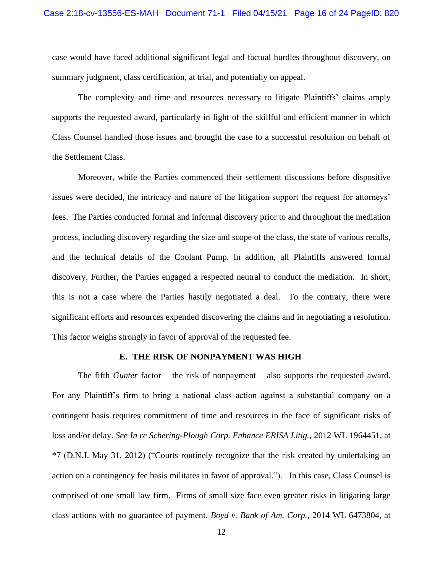case would have faced additional significant legal and factual hurdles throughout discovery, on summary judgment, class certification, at trial, and potentially on appeal.

The complexity and time and resources necessary to litigate Plaintiffs' claims amply supports the requested award, particularly in light of the skillful and efficient manner in which Class Counsel handled those issues and brought the case to a successful resolution on behalf of the Settlement Class.

Moreover, while the Parties commenced their settlement discussions before dispositive issues were decided, the intricacy and nature of the litigation support the request for attorneys' fees. The Parties conducted formal and informal discovery prior to and throughout the mediation process, including discovery regarding the size and scope of the class, the state of various recalls, and the technical details of the Coolant Pump. In addition, all Plaintiffs answered formal discovery. Further, the Parties engaged a respected neutral to conduct the mediation. In short, this is not a case where the Parties hastily negotiated a deal. To the contrary, there were significant efforts and resources expended discovering the claims and in negotiating a resolution. This factor weighs strongly in favor of approval of the requested fee.

#### **E. THE RISK OF NONPAYMENT WAS HIGH**

<span id="page-19-0"></span>The fifth *Gunter* factor – the risk of nonpayment – also supports the requested award. For any Plaintiff's firm to bring a national class action against a substantial company on a contingent basis requires commitment of time and resources in the face of significant risks of loss and/or delay. *See In re Schering-Plough Corp. Enhance ERISA Litig.*, 2012 WL 1964451, at \*7 (D.N.J. May 31, 2012) ("Courts routinely recognize that the risk created by undertaking an action on a contingency fee basis militates in favor of approval."). In this case, Class Counsel is comprised of one small law firm. Firms of small size face even greater risks in litigating large class actions with no guarantee of payment. *Boyd v. Bank of Am. Corp.*, 2014 WL 6473804, at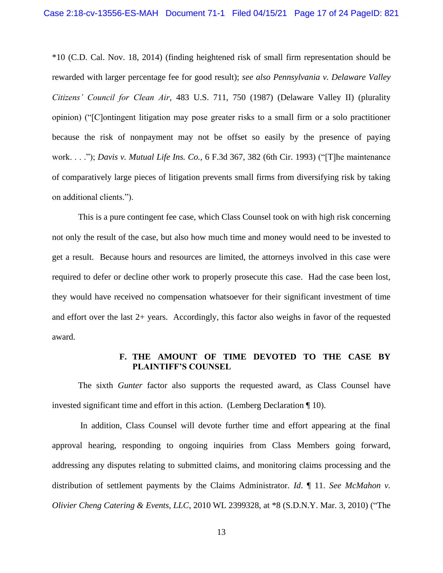\*10 (C.D. Cal. Nov. 18, 2014) (finding heightened risk of small firm representation should be rewarded with larger percentage fee for good result); *see also Pennsylvania v. Delaware Valley Citizens' Council for Clean Air*, 483 U.S. 711, 750 (1987) (Delaware Valley II) (plurality opinion) ("[C]ontingent litigation may pose greater risks to a small firm or a solo practitioner because the risk of nonpayment may not be offset so easily by the presence of paying work. . . ."); *Davis v. Mutual Life Ins. Co.,* 6 F.3d 367, 382 (6th Cir. 1993) ("[T]he maintenance of comparatively large pieces of litigation prevents small firms from diversifying risk by taking on additional clients.").

This is a pure contingent fee case, which Class Counsel took on with high risk concerning not only the result of the case, but also how much time and money would need to be invested to get a result. Because hours and resources are limited, the attorneys involved in this case were required to defer or decline other work to properly prosecute this case. Had the case been lost, they would have received no compensation whatsoever for their significant investment of time and effort over the last 2+ years. Accordingly, this factor also weighs in favor of the requested award.

#### **F. THE AMOUNT OF TIME DEVOTED TO THE CASE BY PLAINTIFF'S COUNSEL**

<span id="page-20-0"></span>The sixth *Gunter* factor also supports the requested award, as Class Counsel have invested significant time and effort in this action. (Lemberg Declaration ¶ 10).

In addition, Class Counsel will devote further time and effort appearing at the final approval hearing, responding to ongoing inquiries from Class Members going forward, addressing any disputes relating to submitted claims, and monitoring claims processing and the distribution of settlement payments by the Claims Administrator. *Id*. ¶ 11. *See McMahon v. Olivier Cheng Catering & Events, LLC*, 2010 WL 2399328, at \*8 (S.D.N.Y. Mar. 3, 2010) ("The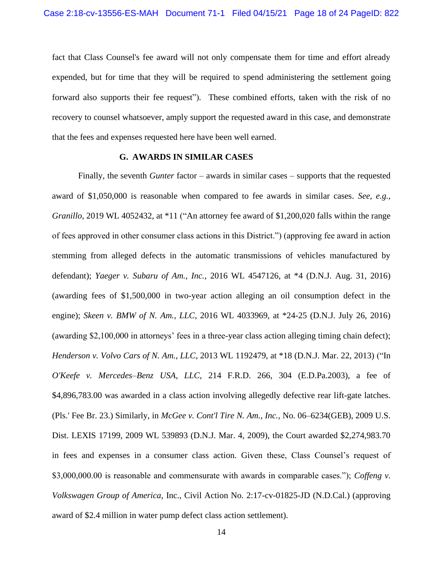fact that Class Counsel's fee award will not only compensate them for time and effort already expended, but for time that they will be required to spend administering the settlement going forward also supports their fee request"). These combined efforts, taken with the risk of no recovery to counsel whatsoever, amply support the requested award in this case, and demonstrate that the fees and expenses requested here have been well earned.

#### **G. AWARDS IN SIMILAR CASES**

<span id="page-21-0"></span>Finally, the seventh *Gunter* factor – awards in similar cases – supports that the requested award of \$1,050,000 is reasonable when compared to fee awards in similar cases. *See, e.g., Granillo*, 2019 WL 4052432, at \*11 ("An attorney fee award of \$1,200,020 falls within the range of fees approved in other consumer class actions in this District.") (approving fee award in action stemming from alleged defects in the automatic transmissions of vehicles manufactured by defendant); *Yaeger v. Subaru of Am., Inc.*, 2016 WL 4547126, at \*4 (D.N.J. Aug. 31, 2016) (awarding fees of \$1,500,000 in two-year action alleging an oil consumption defect in the engine); *Skeen v. BMW of N. Am., LLC*, 2016 WL 4033969, at \*24-25 (D.N.J. July 26, 2016) (awarding \$2,100,000 in attorneys' fees in a three-year class action alleging timing chain defect); *Henderson v. Volvo Cars of N. Am., LLC*, 2013 WL 1192479, at \*18 (D.N.J. Mar. 22, 2013) ("In *O'Keefe v. Mercedes–Benz USA, LLC,* 214 F.R.D. 266, 304 (E.D.Pa.2003), a fee of \$4,896,783.00 was awarded in a class action involving allegedly defective rear lift-gate latches. (Pls.' Fee Br. 23.) Similarly, in *McGee v. Cont'l Tire N. Am., Inc.,* No. 06–6234(GEB), 2009 U.S. Dist. LEXIS 17199, 2009 WL 539893 (D.N.J. Mar. 4, 2009), the Court awarded \$2,274,983.70 in fees and expenses in a consumer class action. Given these, Class Counsel's request of \$3,000,000.00 is reasonable and commensurate with awards in comparable cases."); *Coffeng v. Volkswagen Group of America*, Inc., Civil Action No. 2:17-cv-01825-JD (N.D.Cal.) (approving award of \$2.4 million in water pump defect class action settlement).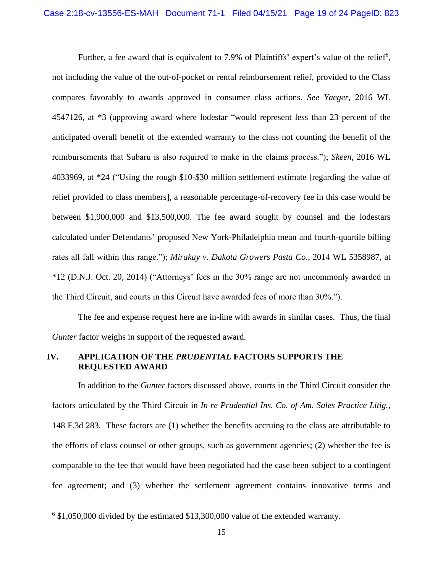Further, a fee award that is equivalent to 7.9% of Plaintiffs' expert's value of the relief<sup>6</sup>, not including the value of the out-of-pocket or rental reimbursement relief, provided to the Class compares favorably to awards approved in consumer class actions. *See Yaeger*, 2016 WL 4547126, at \*3 (approving award where lodestar "would represent less than 23 percent of the anticipated overall benefit of the extended warranty to the class not counting the benefit of the reimbursements that Subaru is also required to make in the claims process."); *Skeen*, 2016 WL 4033969, at \*24 ("Using the rough \$10-\$30 million settlement estimate [regarding the value of relief provided to class members], a reasonable percentage-of-recovery fee in this case would be between \$1,900,000 and \$13,500,000. The fee award sought by counsel and the lodestars calculated under Defendants' proposed New York-Philadelphia mean and fourth-quartile billing rates all fall within this range."); *Mirakay v. Dakota Growers Pasta Co.*, 2014 WL 5358987, at \*12 (D.N.J. Oct. 20, 2014) ("Attorneys' fees in the 30% range are not uncommonly awarded in the Third Circuit, and courts in this Circuit have awarded fees of more than 30%.").

The fee and expense request here are in-line with awards in similar cases. Thus, the final *Gunter* factor weighs in support of the requested award.

#### <span id="page-22-0"></span>**IV. APPLICATION OF THE** *PRUDENTIAL* **FACTORS SUPPORTS THE REQUESTED AWARD**

In addition to the *Gunter* factors discussed above, courts in the Third Circuit consider the factors articulated by the Third Circuit in *In re Prudential Ins. Co. of Am. Sales Practice Litig.*, 148 F.3d 283. These factors are (1) whether the benefits accruing to the class are attributable to the efforts of class counsel or other groups, such as government agencies; (2) whether the fee is comparable to the fee that would have been negotiated had the case been subject to a contingent fee agreement; and (3) whether the settlement agreement contains innovative terms and

<sup>&</sup>lt;sup>6</sup> \$1,050,000 divided by the estimated \$13,300,000 value of the extended warranty.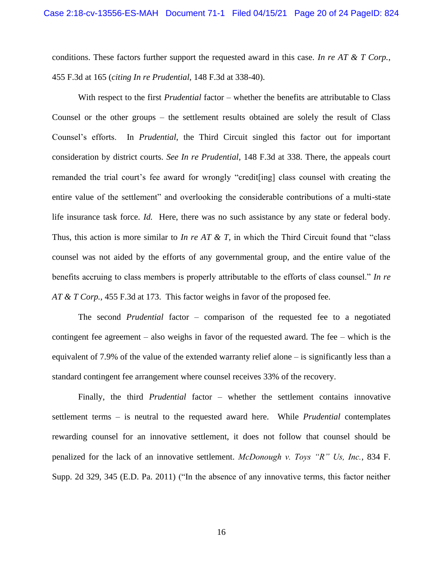conditions. These factors further support the requested award in this case. *In re AT & T Corp.*, 455 F.3d at 165 (*citing In re Prudential*, 148 F.3d at 338-40).

With respect to the first *Prudential* factor – whether the benefits are attributable to Class Counsel or the other groups – the settlement results obtained are solely the result of Class Counsel's efforts. In *Prudential*, the Third Circuit singled this factor out for important consideration by district courts. *See In re Prudential*, 148 F.3d at 338. There, the appeals court remanded the trial court's fee award for wrongly "credit[ing] class counsel with creating the entire value of the settlement" and overlooking the considerable contributions of a multi-state life insurance task force. *Id.* Here, there was no such assistance by any state or federal body. Thus, this action is more similar to *In re AT & T,* in which the Third Circuit found that "class counsel was not aided by the efforts of any governmental group, and the entire value of the benefits accruing to class members is properly attributable to the efforts of class counsel." *In re AT & T Corp.*, 455 F.3d at 173. This factor weighs in favor of the proposed fee.

The second *Prudential* factor – comparison of the requested fee to a negotiated contingent fee agreement – also weighs in favor of the requested award. The fee – which is the equivalent of 7.9% of the value of the extended warranty relief alone – is significantly less than a standard contingent fee arrangement where counsel receives 33% of the recovery.

Finally, the third *Prudential* factor – whether the settlement contains innovative settlement terms – is neutral to the requested award here. While *Prudential* contemplates rewarding counsel for an innovative settlement, it does not follow that counsel should be penalized for the lack of an innovative settlement. *McDonough v. Toys "R" Us, Inc.*, 834 F. Supp. 2d 329, 345 (E.D. Pa. 2011) ("In the absence of any innovative terms, this factor neither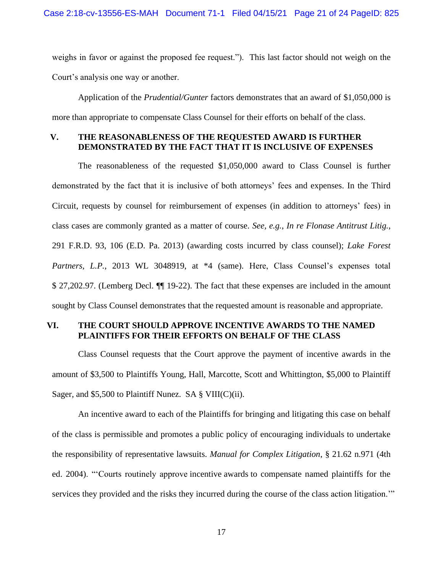weighs in favor or against the proposed fee request."). This last factor should not weigh on the Court's analysis one way or another.

Application of the *Prudential/Gunter* factors demonstrates that an award of \$1,050,000 is more than appropriate to compensate Class Counsel for their efforts on behalf of the class.

#### <span id="page-24-0"></span>**V. THE REASONABLENESS OF THE REQUESTED AWARD IS FURTHER DEMONSTRATED BY THE FACT THAT IT IS INCLUSIVE OF EXPENSES**

The reasonableness of the requested \$1,050,000 award to Class Counsel is further demonstrated by the fact that it is inclusive of both attorneys' fees and expenses. In the Third Circuit, requests by counsel for reimbursement of expenses (in addition to attorneys' fees) in class cases are commonly granted as a matter of course. *See, e.g.*, *In re Flonase Antitrust Litig.*, 291 F.R.D. 93, 106 (E.D. Pa. 2013) (awarding costs incurred by class counsel); *Lake Forest*  Partners, L.P., 2013 WL 3048919, at  $*4$  (same). Here, Class Counsel's expenses total \$ 27,202.97. (Lemberg Decl. ¶¶ 19-22). The fact that these expenses are included in the amount sought by Class Counsel demonstrates that the requested amount is reasonable and appropriate.

#### <span id="page-24-1"></span>**VI. THE COURT SHOULD APPROVE INCENTIVE AWARDS TO THE NAMED PLAINTIFFS FOR THEIR EFFORTS ON BEHALF OF THE CLASS**

Class Counsel requests that the Court approve the payment of incentive awards in the amount of \$3,500 to Plaintiffs Young, Hall, Marcotte, Scott and Whittington, \$5,000 to Plaintiff Sager, and \$5,500 to Plaintiff Nunez. SA  $\S$  VIII(C)(ii).

An incentive award to each of the Plaintiffs for bringing and litigating this case on behalf of the class is permissible and promotes a public policy of encouraging individuals to undertake the responsibility of representative lawsuits. *Manual for Complex Litigation*, § 21.62 n.971 (4th ed. 2004). "'Courts routinely approve incentive awards to compensate named plaintiffs for the services they provided and the risks they incurred during the course of the class action litigation.'"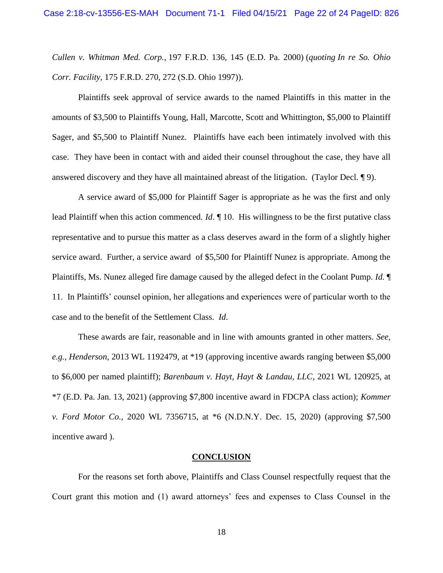*Cullen v. Whitman Med. Corp.*, 197 F.R.D. 136, 145 (E.D. Pa. 2000) (*quoting In re So. Ohio Corr. Facility,* 175 F.R.D. 270, 272 (S.D. Ohio 1997)).

Plaintiffs seek approval of service awards to the named Plaintiffs in this matter in the amounts of \$3,500 to Plaintiffs Young, Hall, Marcotte, Scott and Whittington, \$5,000 to Plaintiff Sager, and \$5,500 to Plaintiff Nunez. Plaintiffs have each been intimately involved with this case. They have been in contact with and aided their counsel throughout the case, they have all answered discovery and they have all maintained abreast of the litigation. (Taylor Decl. ¶ 9).

A service award of \$5,000 for Plaintiff Sager is appropriate as he was the first and only lead Plaintiff when this action commenced. *Id*. ¶ 10. His willingness to be the first putative class representative and to pursue this matter as a class deserves award in the form of a slightly higher service award. Further, a service award of \$5,500 for Plaintiff Nunez is appropriate. Among the Plaintiffs, Ms. Nunez alleged fire damage caused by the alleged defect in the Coolant Pump. *Id.* ¶ 11. In Plaintiffs' counsel opinion, her allegations and experiences were of particular worth to the case and to the benefit of the Settlement Class. *Id*.

These awards are fair, reasonable and in line with amounts granted in other matters. *See, e.g.*, *Henderson*, 2013 WL 1192479, at \*19 (approving incentive awards ranging between \$5,000 to \$6,000 per named plaintiff); *Barenbaum v. Hayt, Hayt & Landau, LLC*, 2021 WL 120925, at \*7 (E.D. Pa. Jan. 13, 2021) (approving \$7,800 incentive award in FDCPA class action); *Kommer v. Ford Motor Co.*, 2020 WL 7356715, at \*6 (N.D.N.Y. Dec. 15, 2020) (approving \$7,500 incentive award ).

#### **CONCLUSION**

<span id="page-25-0"></span>For the reasons set forth above, Plaintiffs and Class Counsel respectfully request that the Court grant this motion and (1) award attorneys' fees and expenses to Class Counsel in the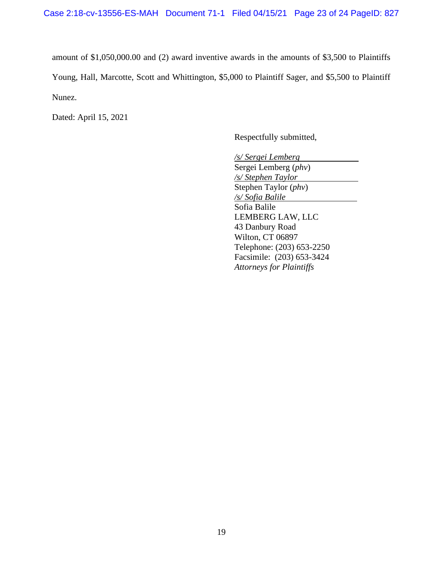amount of \$1,050,000.00 and (2) award inventive awards in the amounts of \$3,500 to Plaintiffs Young, Hall, Marcotte, Scott and Whittington, \$5,000 to Plaintiff Sager, and \$5,500 to Plaintiff Nunez.

Dated: April 15, 2021

Respectfully submitted,

*/s/ Sergei Lemberg* Sergei Lemberg (*phv*) */s/ Stephen Taylor* Stephen Taylor (*phv*) */s/ Sofia Balile* Sofia Balile LEMBERG LAW, LLC 43 Danbury Road Wilton, CT 06897 Telephone: (203) 653-2250 Facsimile: (203) 653-3424 *Attorneys for Plaintiffs*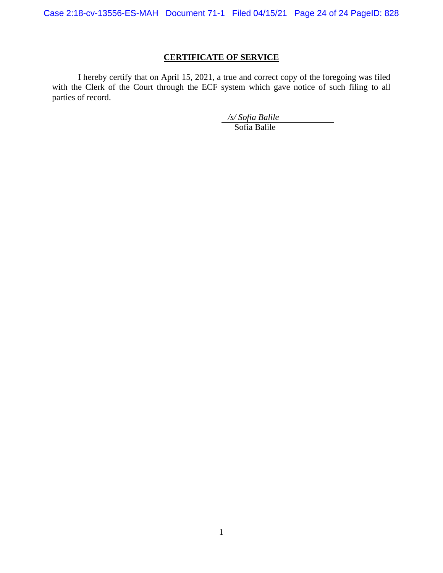Case 2:18-cv-13556-ES-MAH Document 71-1 Filed 04/15/21 Page 24 of 24 PageID: 828

# **CERTIFICATE OF SERVICE**

I hereby certify that on April 15, 2021, a true and correct copy of the foregoing was filed with the Clerk of the Court through the ECF system which gave notice of such filing to all parties of record.

*/s/ Sofia Balile*

Sofia Balile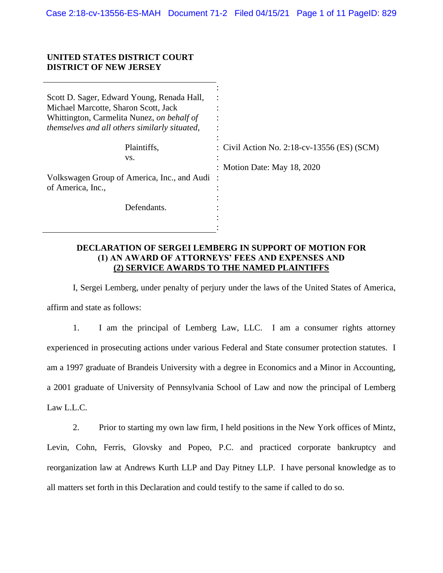#### **UNITED STATES DISTRICT COURT DISTRICT OF NEW JERSEY**

| Scott D. Sager, Edward Young, Renada Hall,<br>Michael Marcotte, Sharon Scott, Jack<br>Whittington, Carmelita Nunez, on behalf of<br><i>themselves and all others similarly situated,</i> |                                             |
|------------------------------------------------------------------------------------------------------------------------------------------------------------------------------------------|---------------------------------------------|
| Plaintiffs,                                                                                                                                                                              | : Civil Action No. 2:18-cv-13556 (ES) (SCM) |
| VS.                                                                                                                                                                                      |                                             |
|                                                                                                                                                                                          | : Motion Date: May 18, 2020                 |
| Volkswagen Group of America, Inc., and Audi:                                                                                                                                             |                                             |
| of America, Inc.,                                                                                                                                                                        |                                             |
|                                                                                                                                                                                          |                                             |
| Defendants.                                                                                                                                                                              |                                             |
|                                                                                                                                                                                          |                                             |
|                                                                                                                                                                                          |                                             |

#### **DECLARATION OF SERGEI LEMBERG IN SUPPORT OF MOTION FOR (1) AN AWARD OF ATTORNEYS' FEES AND EXPENSES AND (2) SERVICE AWARDS TO THE NAMED PLAINTIFFS**

I, Sergei Lemberg, under penalty of perjury under the laws of the United States of America, affirm and state as follows:

1. I am the principal of Lemberg Law, LLC. I am a consumer rights attorney experienced in prosecuting actions under various Federal and State consumer protection statutes. I am a 1997 graduate of Brandeis University with a degree in Economics and a Minor in Accounting, a 2001 graduate of University of Pennsylvania School of Law and now the principal of Lemberg Law L.L.C.

2. Prior to starting my own law firm, I held positions in the New York offices of Mintz, Levin, Cohn, Ferris, Glovsky and Popeo, P.C. and practiced corporate bankruptcy and reorganization law at Andrews Kurth LLP and Day Pitney LLP. I have personal knowledge as to all matters set forth in this Declaration and could testify to the same if called to do so.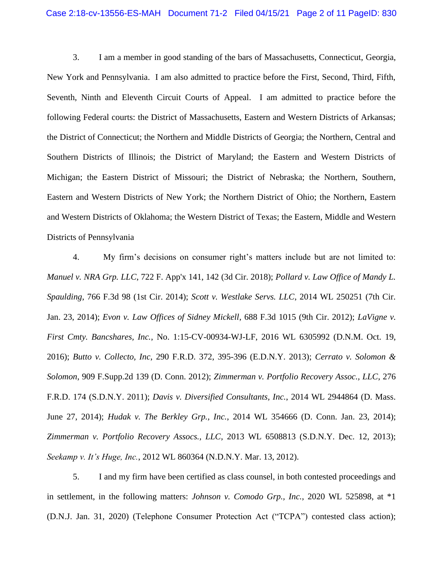3. I am a member in good standing of the bars of Massachusetts, Connecticut, Georgia, New York and Pennsylvania. I am also admitted to practice before the First, Second, Third, Fifth, Seventh, Ninth and Eleventh Circuit Courts of Appeal. I am admitted to practice before the following Federal courts: the District of Massachusetts, Eastern and Western Districts of Arkansas; the District of Connecticut; the Northern and Middle Districts of Georgia; the Northern, Central and Southern Districts of Illinois; the District of Maryland; the Eastern and Western Districts of Michigan; the Eastern District of Missouri; the District of Nebraska; the Northern, Southern, Eastern and Western Districts of New York; the Northern District of Ohio; the Northern, Eastern and Western Districts of Oklahoma; the Western District of Texas; the Eastern, Middle and Western Districts of Pennsylvania

4. My firm's decisions on consumer right's matters include but are not limited to: *Manuel v. NRA Grp. LLC*, 722 F. App'x 141, 142 (3d Cir. 2018); *Pollard v. Law Office of Mandy L. Spaulding*, 766 F.3d 98 (1st Cir. 2014); *Scott v. Westlake Servs. LLC*, 2014 WL 250251 (7th Cir. Jan. 23, 2014); *Evon v. Law Offices of Sidney Mickell*, 688 F.3d 1015 (9th Cir. 2012); *LaVigne v. First Cmty. Bancshares, Inc.*, No. 1:15-CV-00934-WJ-LF, 2016 WL 6305992 (D.N.M. Oct. 19, 2016); *Butto v. Collecto, Inc*, 290 F.R.D. 372, 395-396 (E.D.N.Y. 2013); *Cerrato v. Solomon & Solomon*, 909 F.Supp.2d 139 (D. Conn. 2012); *Zimmerman v. Portfolio Recovery Assoc., LLC*, 276 F.R.D. 174 (S.D.N.Y. 2011); *Davis v. Diversified Consultants, Inc.*, 2014 WL 2944864 (D. Mass. June 27, 2014); *Hudak v. The Berkley Grp., Inc.*, 2014 WL 354666 (D. Conn. Jan. 23, 2014); *Zimmerman v. Portfolio Recovery Assocs., LLC*, 2013 WL 6508813 (S.D.N.Y. Dec. 12, 2013); *Seekamp v. It's Huge, Inc.*, 2012 WL 860364 (N.D.N.Y. Mar. 13, 2012).

5. I and my firm have been certified as class counsel, in both contested proceedings and in settlement, in the following matters: *Johnson v. Comodo Grp., Inc.*, 2020 WL 525898, at \*1 (D.N.J. Jan. 31, 2020) (Telephone Consumer Protection Act ("TCPA") contested class action);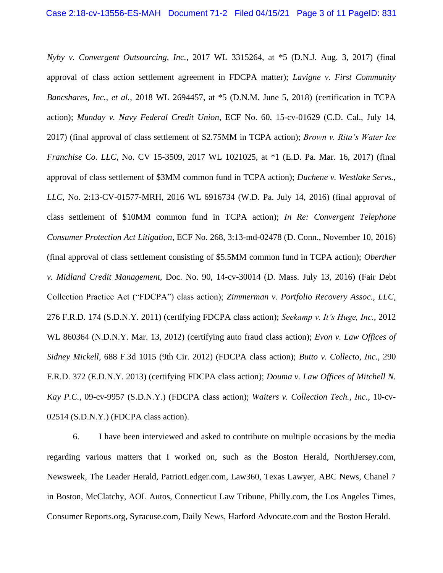*Nyby v. Convergent Outsourcing, Inc.*, 2017 WL 3315264, at \*5 (D.N.J. Aug. 3, 2017) (final approval of class action settlement agreement in FDCPA matter); *Lavigne v. First Community Bancshares, Inc., et al.*, 2018 WL 2694457, at \*5 (D.N.M. June 5, 2018) (certification in TCPA action); *Munday v. Navy Federal Credit Union*, ECF No. 60, 15-cv-01629 (C.D. Cal., July 14, 2017) (final approval of class settlement of \$2.75MM in TCPA action); *Brown v. Rita's Water Ice Franchise Co. LLC*, No. CV 15-3509, 2017 WL 1021025, at \*1 (E.D. Pa. Mar. 16, 2017) (final approval of class settlement of \$3MM common fund in TCPA action); *Duchene v. Westlake Servs., LLC*, No. 2:13-CV-01577-MRH, 2016 WL 6916734 (W.D. Pa. July 14, 2016) (final approval of class settlement of \$10MM common fund in TCPA action); *In Re: Convergent Telephone Consumer Protection Act Litigation*, ECF No. 268, 3:13-md-02478 (D. Conn., November 10, 2016) (final approval of class settlement consisting of \$5.5MM common fund in TCPA action); *Oberther v. Midland Credit Management*, Doc. No. 90, 14-cv-30014 (D. Mass. July 13, 2016) (Fair Debt Collection Practice Act ("FDCPA") class action); *Zimmerman v. Portfolio Recovery Assoc., LLC*, 276 F.R.D. 174 (S.D.N.Y. 2011) (certifying FDCPA class action); *Seekamp v. It's Huge, Inc.*, 2012 WL 860364 (N.D.N.Y. Mar. 13, 2012) (certifying auto fraud class action); *Evon v. Law Offices of Sidney Mickell*, 688 F.3d 1015 (9th Cir. 2012) (FDCPA class action); *Butto v. Collecto, Inc*., 290 F.R.D. 372 (E.D.N.Y. 2013) (certifying FDCPA class action); *Douma v. Law Offices of Mitchell N. Kay P.C.*, 09-cv-9957 (S.D.N.Y.) (FDCPA class action); *Waiters v. Collection Tech., Inc.*, 10-cv-02514 (S.D.N.Y.) (FDCPA class action).

6. I have been interviewed and asked to contribute on multiple occasions by the media regarding various matters that I worked on, such as the Boston Herald, NorthJersey.com, Newsweek, The Leader Herald, PatriotLedger.com, Law360, Texas Lawyer, ABC News, Chanel 7 in Boston, McClatchy, AOL Autos, Connecticut Law Tribune, Philly.com, the Los Angeles Times, Consumer Reports.org, Syracuse.com, Daily News, Harford Advocate.com and the Boston Herald.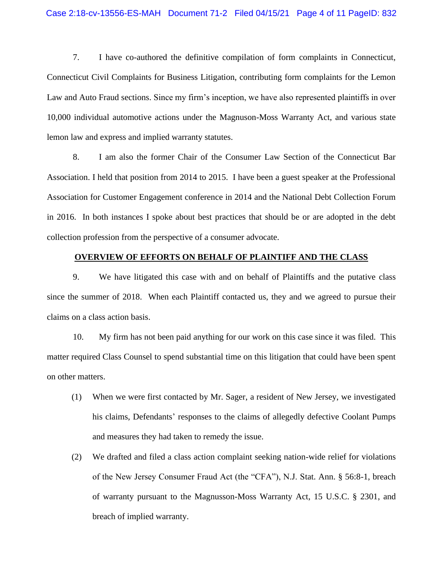7. I have co-authored the definitive compilation of form complaints in Connecticut, Connecticut Civil Complaints for Business Litigation, contributing form complaints for the Lemon Law and Auto Fraud sections. Since my firm's inception, we have also represented plaintiffs in over 10,000 individual automotive actions under the Magnuson-Moss Warranty Act, and various state lemon law and express and implied warranty statutes.

8. I am also the former Chair of the Consumer Law Section of the Connecticut Bar Association. I held that position from 2014 to 2015. I have been a guest speaker at the Professional Association for Customer Engagement conference in 2014 and the National Debt Collection Forum in 2016. In both instances I spoke about best practices that should be or are adopted in the debt collection profession from the perspective of a consumer advocate.

#### **OVERVIEW OF EFFORTS ON BEHALF OF PLAINTIFF AND THE CLASS**

9. We have litigated this case with and on behalf of Plaintiffs and the putative class since the summer of 2018. When each Plaintiff contacted us, they and we agreed to pursue their claims on a class action basis.

10. My firm has not been paid anything for our work on this case since it was filed. This matter required Class Counsel to spend substantial time on this litigation that could have been spent on other matters.

- (1) When we were first contacted by Mr. Sager, a resident of New Jersey, we investigated his claims, Defendants' responses to the claims of allegedly defective Coolant Pumps and measures they had taken to remedy the issue.
- (2) We drafted and filed a class action complaint seeking nation-wide relief for violations of the New Jersey Consumer Fraud Act (the "CFA"), N.J. Stat. Ann. § 56:8-1, breach of warranty pursuant to the Magnusson-Moss Warranty Act, 15 U.S.C. § 2301, and breach of implied warranty.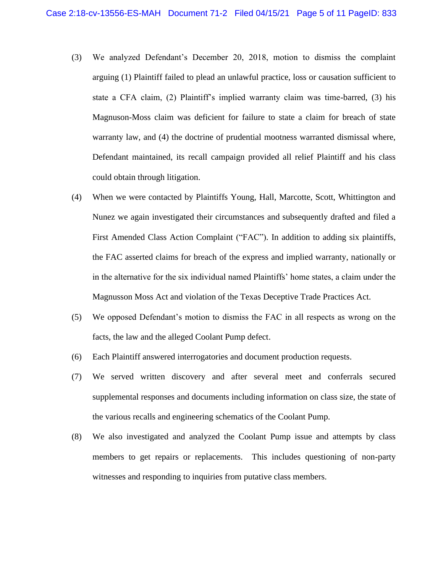- (3) We analyzed Defendant's December 20, 2018, motion to dismiss the complaint arguing (1) Plaintiff failed to plead an unlawful practice, loss or causation sufficient to state a CFA claim, (2) Plaintiff's implied warranty claim was time-barred, (3) his Magnuson-Moss claim was deficient for failure to state a claim for breach of state warranty law, and (4) the doctrine of prudential mootness warranted dismissal where, Defendant maintained, its recall campaign provided all relief Plaintiff and his class could obtain through litigation.
- (4) When we were contacted by Plaintiffs Young, Hall, Marcotte, Scott, Whittington and Nunez we again investigated their circumstances and subsequently drafted and filed a First Amended Class Action Complaint ("FAC"). In addition to adding six plaintiffs, the FAC asserted claims for breach of the express and implied warranty, nationally or in the alternative for the six individual named Plaintiffs' home states, a claim under the Magnusson Moss Act and violation of the Texas Deceptive Trade Practices Act.
- (5) We opposed Defendant's motion to dismiss the FAC in all respects as wrong on the facts, the law and the alleged Coolant Pump defect.
- (6) Each Plaintiff answered interrogatories and document production requests.
- (7) We served written discovery and after several meet and conferrals secured supplemental responses and documents including information on class size, the state of the various recalls and engineering schematics of the Coolant Pump.
- (8) We also investigated and analyzed the Coolant Pump issue and attempts by class members to get repairs or replacements. This includes questioning of non-party witnesses and responding to inquiries from putative class members.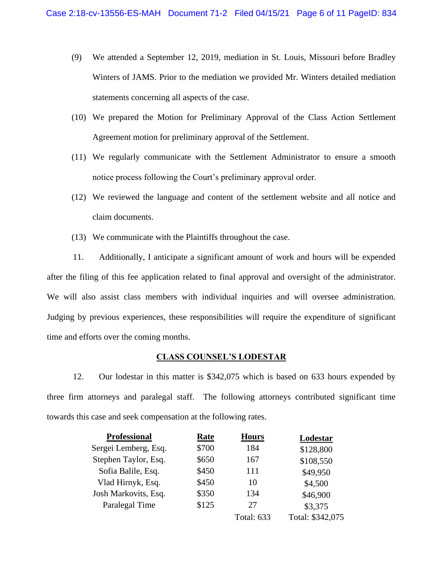- (9) We attended a September 12, 2019, mediation in St. Louis, Missouri before Bradley Winters of JAMS. Prior to the mediation we provided Mr. Winters detailed mediation statements concerning all aspects of the case.
- (10) We prepared the Motion for Preliminary Approval of the Class Action Settlement Agreement motion for preliminary approval of the Settlement.
- (11) We regularly communicate with the Settlement Administrator to ensure a smooth notice process following the Court's preliminary approval order.
- (12) We reviewed the language and content of the settlement website and all notice and claim documents.
- (13) We communicate with the Plaintiffs throughout the case.

11. Additionally, I anticipate a significant amount of work and hours will be expended after the filing of this fee application related to final approval and oversight of the administrator. We will also assist class members with individual inquiries and will oversee administration. Judging by previous experiences, these responsibilities will require the expenditure of significant time and efforts over the coming months.

#### **CLASS COUNSEL'S LODESTAR**

12. Our lodestar in this matter is \$342,075 which is based on 633 hours expended by three firm attorneys and paralegal staff. The following attorneys contributed significant time towards this case and seek compensation at the following rates.

| <b>Professional</b>  | Rate  | <b>Hours</b>      | Lodestar         |
|----------------------|-------|-------------------|------------------|
| Sergei Lemberg, Esq. | \$700 | 184               | \$128,800        |
| Stephen Taylor, Esq. | \$650 | 167               | \$108,550        |
| Sofia Balile, Esq.   | \$450 | 111               | \$49,950         |
| Vlad Hirnyk, Esq.    | \$450 | 10                | \$4,500          |
| Josh Markovits, Esq. | \$350 | 134               | \$46,900         |
| Paralegal Time       | \$125 | 27                | \$3,375          |
|                      |       | <b>Total: 633</b> | Total: \$342,075 |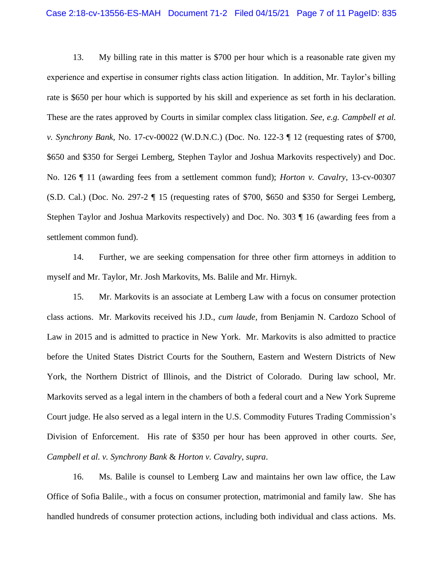13. My billing rate in this matter is \$700 per hour which is a reasonable rate given my experience and expertise in consumer rights class action litigation. In addition, Mr. Taylor's billing rate is \$650 per hour which is supported by his skill and experience as set forth in his declaration. These are the rates approved by Courts in similar complex class litigation. *See, e.g. Campbell et al. v. Synchrony Bank,* No. 17-cv-00022 (W.D.N.C.) (Doc. No. 122-3 ¶ 12 (requesting rates of \$700, \$650 and \$350 for Sergei Lemberg, Stephen Taylor and Joshua Markovits respectively) and Doc. No. 126 ¶ 11 (awarding fees from a settlement common fund); *Horton v. Cavalry*, 13-cv-00307 (S.D. Cal.) (Doc. No. 297-2 ¶ 15 (requesting rates of \$700, \$650 and \$350 for Sergei Lemberg, Stephen Taylor and Joshua Markovits respectively) and Doc. No. 303 ¶ 16 (awarding fees from a settlement common fund).

14. Further, we are seeking compensation for three other firm attorneys in addition to myself and Mr. Taylor, Mr. Josh Markovits, Ms. Balile and Mr. Hirnyk.

15. Mr. Markovits is an associate at Lemberg Law with a focus on consumer protection class actions. Mr. Markovits received his J.D., *cum laude,* from Benjamin N. Cardozo School of Law in 2015 and is admitted to practice in New York. Mr. Markovits is also admitted to practice before the United States District Courts for the Southern, Eastern and Western Districts of New York, the Northern District of Illinois, and the District of Colorado. During law school, Mr. Markovits served as a legal intern in the chambers of both a federal court and a New York Supreme Court judge. He also served as a legal intern in the U.S. Commodity Futures Trading Commission's Division of Enforcement. His rate of \$350 per hour has been approved in other courts. *See, Campbell et al. v. Synchrony Bank* & *Horton v. Cavalry*, *supra*.

16. Ms. Balile is counsel to Lemberg Law and maintains her own law office, the Law Office of Sofia Balile., with a focus on consumer protection, matrimonial and family law. She has handled hundreds of consumer protection actions, including both individual and class actions. Ms.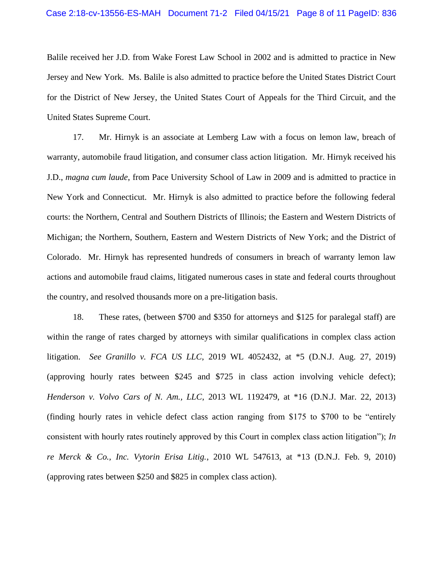Balile received her J.D. from Wake Forest Law School in 2002 and is admitted to practice in New Jersey and New York. Ms. Balile is also admitted to practice before the United States District Court for the District of New Jersey, the United States Court of Appeals for the Third Circuit, and the United States Supreme Court.

17. Mr. Hirnyk is an associate at Lemberg Law with a focus on lemon law, breach of warranty, automobile fraud litigation, and consumer class action litigation. Mr. Hirnyk received his J.D., *magna cum laude*, from Pace University School of Law in 2009 and is admitted to practice in New York and Connecticut. Mr. Hirnyk is also admitted to practice before the following federal courts: the Northern, Central and Southern Districts of Illinois; the Eastern and Western Districts of Michigan; the Northern, Southern, Eastern and Western Districts of New York; and the District of Colorado. Mr. Hirnyk has represented hundreds of consumers in breach of warranty lemon law actions and automobile fraud claims, litigated numerous cases in state and federal courts throughout the country, and resolved thousands more on a pre-litigation basis.

18. These rates, (between \$700 and \$350 for attorneys and \$125 for paralegal staff) are within the range of rates charged by attorneys with similar qualifications in complex class action litigation. *See Granillo v. FCA US LLC*, 2019 WL 4052432, at \*5 (D.N.J. Aug. 27, 2019) (approving hourly rates between \$245 and \$725 in class action involving vehicle defect); *Henderson v. Volvo Cars of N. Am., LLC*, 2013 WL 1192479, at \*16 (D.N.J. Mar. 22, 2013) (finding hourly rates in vehicle defect class action ranging from \$175 to \$700 to be "entirely consistent with hourly rates routinely approved by this Court in complex class action litigation"); *In re Merck & Co., Inc. Vytorin Erisa Litig.*, 2010 WL 547613, at \*13 (D.N.J. Feb. 9, 2010) (approving rates between \$250 and \$825 in complex class action).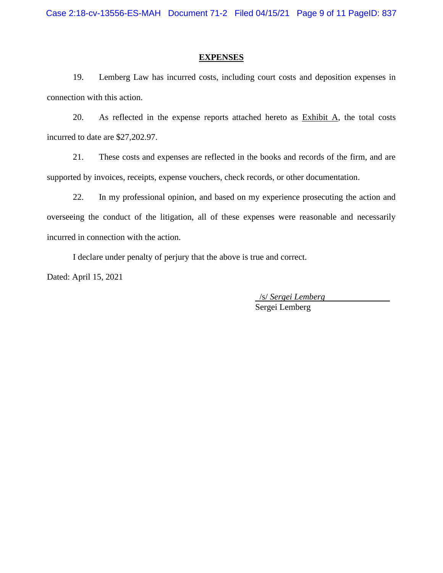#### **EXPENSES**

19. Lemberg Law has incurred costs, including court costs and deposition expenses in connection with this action.

20. As reflected in the expense reports attached hereto as Exhibit A, the total costs incurred to date are \$27,202.97.

21. These costs and expenses are reflected in the books and records of the firm, and are supported by invoices, receipts, expense vouchers, check records, or other documentation.

22. In my professional opinion, and based on my experience prosecuting the action and overseeing the conduct of the litigation, all of these expenses were reasonable and necessarily incurred in connection with the action.

I declare under penalty of perjury that the above is true and correct.

Dated: April 15, 2021

 /s/ *Sergei Lemberg* Sergei Lemberg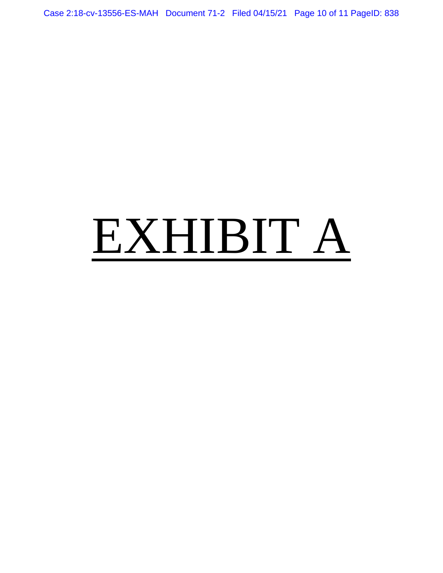Case 2:18-cv-13556-ES-MAH Document 71-2 Filed 04/15/21 Page 10 of 11 PageID: 838

# EXHIBIT A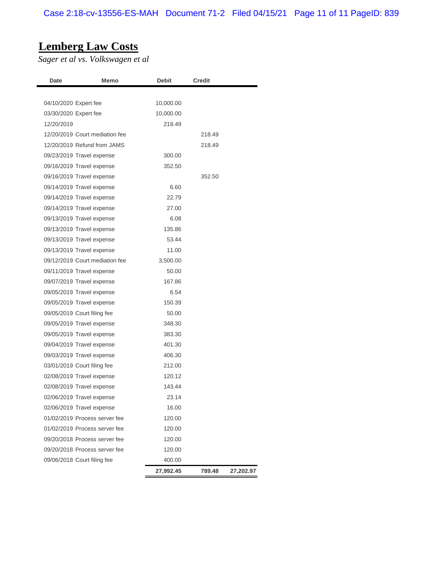# **Lemberg Law Costs**

*Sager et al vs. Volkswagen et al*

| Date                        | Memo                           | <b>Debit</b> | <b>Credit</b> |           |
|-----------------------------|--------------------------------|--------------|---------------|-----------|
|                             |                                |              |               |           |
| 04/10/2020 Expert fee       |                                | 10,000.00    |               |           |
| 03/30/2020 Expert fee       |                                | 10,000.00    |               |           |
| 12/20/2019                  |                                | 218.49       |               |           |
|                             | 12/20/2019 Court mediation fee |              | 218.49        |           |
|                             | 12/20/2019 Refund from JAMS    |              | 218.49        |           |
| 09/23/2019 Travel expense   |                                | 300.00       |               |           |
| 09/16/2019 Travel expense   |                                | 352.50       |               |           |
| 09/16/2019 Travel expense   |                                |              | 352.50        |           |
| 09/14/2019 Travel expense   |                                | 6.60         |               |           |
| 09/14/2019 Travel expense   |                                | 22.79        |               |           |
| 09/14/2019 Travel expense   |                                | 27.00        |               |           |
| 09/13/2019 Travel expense   |                                | 6.08         |               |           |
| 09/13/2019 Travel expense   |                                | 135.86       |               |           |
| 09/13/2019 Travel expense   |                                | 53.44        |               |           |
| 09/13/2019 Travel expense   |                                | 11.00        |               |           |
|                             | 09/12/2019 Court mediation fee | 3,500.00     |               |           |
| 09/11/2019 Travel expense   |                                | 50.00        |               |           |
| 09/07/2019 Travel expense   |                                | 167.86       |               |           |
| 09/05/2019 Travel expense   |                                | 6.54         |               |           |
| 09/05/2019 Travel expense   |                                | 150.39       |               |           |
| 09/05/2019 Court filing fee |                                | 50.00        |               |           |
| 09/05/2019 Travel expense   |                                | 348.30       |               |           |
| 09/05/2019 Travel expense   |                                | 383.30       |               |           |
| 09/04/2019 Travel expense   |                                | 401.30       |               |           |
| 09/03/2019 Travel expense   |                                | 406.30       |               |           |
| 03/01/2019 Court filing fee |                                | 212.00       |               |           |
| 02/08/2019 Travel expense   |                                | 120.12       |               |           |
| 02/08/2019 Travel expense   |                                | 143.44       |               |           |
| 02/06/2019 Travel expense   |                                | 23.14        |               |           |
| 02/06/2019 Travel expense   |                                | 16.00        |               |           |
|                             | 01/02/2019 Process server fee  | 120.00       |               |           |
|                             | 01/02/2019 Process server fee  | 120.00       |               |           |
|                             | 09/20/2018 Process server fee  | 120.00       |               |           |
|                             | 09/20/2018 Process server fee  | 120.00       |               |           |
| 09/06/2018 Court filing fee |                                | 400.00       |               |           |
|                             |                                | 27,992.45    | 789.48        | 27,202.97 |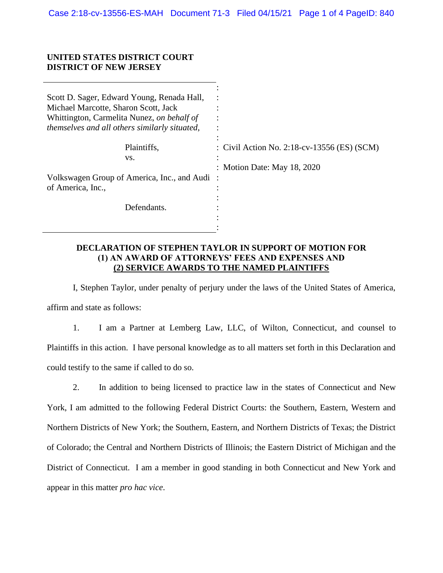#### **UNITED STATES DISTRICT COURT DISTRICT OF NEW JERSEY**

| Scott D. Sager, Edward Young, Renada Hall,<br>Michael Marcotte, Sharon Scott, Jack<br>Whittington, Carmelita Nunez, on behalf of<br>themselves and all others similarly situated, |                                             |
|-----------------------------------------------------------------------------------------------------------------------------------------------------------------------------------|---------------------------------------------|
| Plaintiffs,                                                                                                                                                                       | : Civil Action No. 2:18-cv-13556 (ES) (SCM) |
| VS.                                                                                                                                                                               |                                             |
|                                                                                                                                                                                   | : Motion Date: May 18, 2020                 |
| Volkswagen Group of America, Inc., and Audi:                                                                                                                                      |                                             |
| of America, Inc.,                                                                                                                                                                 |                                             |
|                                                                                                                                                                                   |                                             |
| Defendants.                                                                                                                                                                       |                                             |
|                                                                                                                                                                                   |                                             |
|                                                                                                                                                                                   |                                             |

#### **DECLARATION OF STEPHEN TAYLOR IN SUPPORT OF MOTION FOR (1) AN AWARD OF ATTORNEYS' FEES AND EXPENSES AND (2) SERVICE AWARDS TO THE NAMED PLAINTIFFS**

I, Stephen Taylor, under penalty of perjury under the laws of the United States of America, affirm and state as follows:

1. I am a Partner at Lemberg Law, LLC, of Wilton, Connecticut, and counsel to Plaintiffs in this action. I have personal knowledge as to all matters set forth in this Declaration and could testify to the same if called to do so.

2. In addition to being licensed to practice law in the states of Connecticut and New York, I am admitted to the following Federal District Courts: the Southern, Eastern, Western and Northern Districts of New York; the Southern, Eastern, and Northern Districts of Texas; the District of Colorado; the Central and Northern Districts of Illinois; the Eastern District of Michigan and the District of Connecticut. I am a member in good standing in both Connecticut and New York and appear in this matter *pro hac vice*.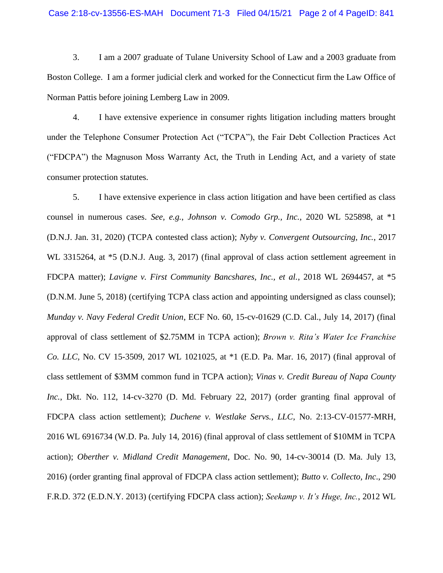#### Case 2:18-cv-13556-ES-MAH Document 71-3 Filed 04/15/21 Page 2 of 4 PageID: 841

3. I am a 2007 graduate of Tulane University School of Law and a 2003 graduate from Boston College. I am a former judicial clerk and worked for the Connecticut firm the Law Office of Norman Pattis before joining Lemberg Law in 2009.

4. I have extensive experience in consumer rights litigation including matters brought under the Telephone Consumer Protection Act ("TCPA"), the Fair Debt Collection Practices Act ("FDCPA") the Magnuson Moss Warranty Act, the Truth in Lending Act, and a variety of state consumer protection statutes.

5. I have extensive experience in class action litigation and have been certified as class counsel in numerous cases. *See, e.g.*, *Johnson v. Comodo Grp., Inc.*, 2020 WL 525898, at \*1 (D.N.J. Jan. 31, 2020) (TCPA contested class action); *Nyby v. Convergent Outsourcing, Inc.*, 2017 WL 3315264, at \*5 (D.N.J. Aug. 3, 2017) (final approval of class action settlement agreement in FDCPA matter); *Lavigne v. First Community Bancshares, Inc., et al.*, 2018 WL 2694457, at \*5 (D.N.M. June 5, 2018) (certifying TCPA class action and appointing undersigned as class counsel); *Munday v. Navy Federal Credit Union*, ECF No. 60, 15-cv-01629 (C.D. Cal., July 14, 2017) (final approval of class settlement of \$2.75MM in TCPA action); *Brown v. Rita's Water Ice Franchise Co. LLC*, No. CV 15-3509, 2017 WL 1021025, at \*1 (E.D. Pa. Mar. 16, 2017) (final approval of class settlement of \$3MM common fund in TCPA action); *Vinas v. Credit Bureau of Napa County Inc.*, Dkt. No. 112, 14-cv-3270 (D. Md. February 22, 2017) (order granting final approval of FDCPA class action settlement); *Duchene v. Westlake Servs., LLC*, No. 2:13-CV-01577-MRH, 2016 WL 6916734 (W.D. Pa. July 14, 2016) (final approval of class settlement of \$10MM in TCPA action); *Oberther v. Midland Credit Management*, Doc. No. 90, 14-cv-30014 (D. Ma. July 13, 2016) (order granting final approval of FDCPA class action settlement); *Butto v. Collecto, Inc*., 290 F.R.D. 372 (E.D.N.Y. 2013) (certifying FDCPA class action); *Seekamp v. It's Huge, Inc.*, 2012 WL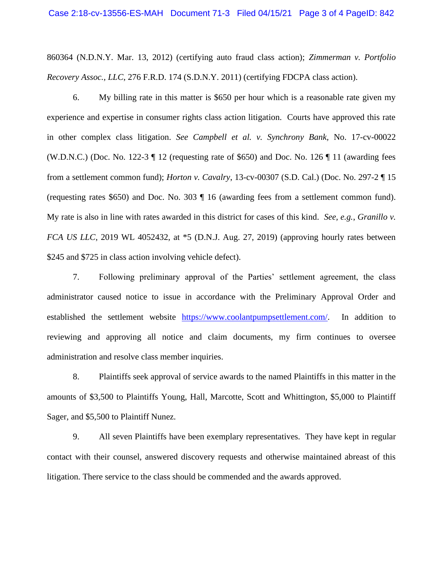860364 (N.D.N.Y. Mar. 13, 2012) (certifying auto fraud class action); *Zimmerman v. Portfolio Recovery Assoc., LLC*, 276 F.R.D. 174 (S.D.N.Y. 2011) (certifying FDCPA class action).

6. My billing rate in this matter is \$650 per hour which is a reasonable rate given my experience and expertise in consumer rights class action litigation. Courts have approved this rate in other complex class litigation. *See Campbell et al. v. Synchrony Bank,* No. 17-cv-00022 (W.D.N.C.) (Doc. No. 122-3  $\P$  12 (requesting rate of \$650) and Doc. No. 126  $\P$  11 (awarding fees from a settlement common fund); *Horton v. Cavalry*, 13-cv-00307 (S.D. Cal.) (Doc. No. 297-2 ¶ 15 (requesting rates \$650) and Doc. No. 303 ¶ 16 (awarding fees from a settlement common fund). My rate is also in line with rates awarded in this district for cases of this kind. *See, e.g.*, *Granillo v. FCA US LLC*, 2019 WL 4052432, at \*5 (D.N.J. Aug. 27, 2019) (approving hourly rates between \$245 and \$725 in class action involving vehicle defect).

7. Following preliminary approval of the Parties' settlement agreement, the class administrator caused notice to issue in accordance with the Preliminary Approval Order and established the settlement website [https://www.coolantpumpsettlement.com/.](https://www.coolantpumpsettlement.com/) In addition to reviewing and approving all notice and claim documents, my firm continues to oversee administration and resolve class member inquiries.

8. Plaintiffs seek approval of service awards to the named Plaintiffs in this matter in the amounts of \$3,500 to Plaintiffs Young, Hall, Marcotte, Scott and Whittington, \$5,000 to Plaintiff Sager, and \$5,500 to Plaintiff Nunez.

9. All seven Plaintiffs have been exemplary representatives. They have kept in regular contact with their counsel, answered discovery requests and otherwise maintained abreast of this litigation. There service to the class should be commended and the awards approved.